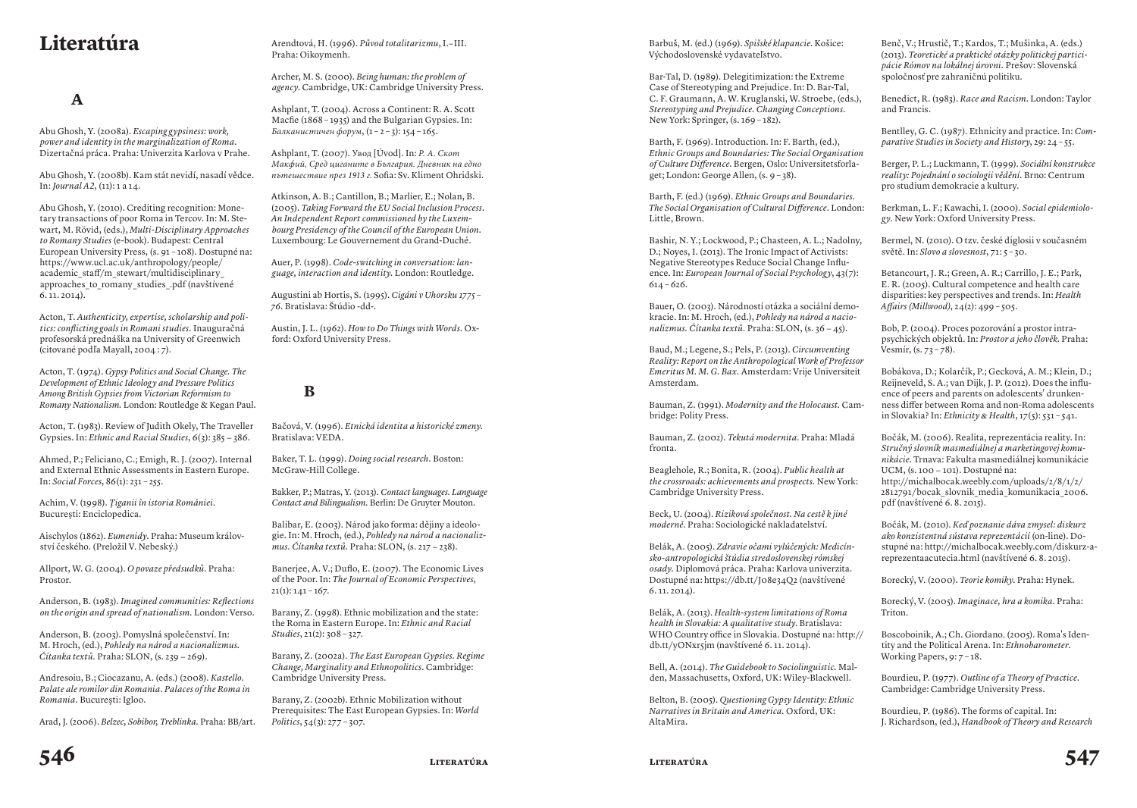## **literatúra**

## **A**

Abu Ghosh, Y. (2008a). *Escaping gypsiness: work, power and identity in the marginalization of Roma.* Dizertačná práca. Praha: Univerzita Karlova v Prahe.

Abu Ghosh, Y. (2008b). Kam stát nevidí, nasadí vědce. In: *Journal A2*, (11): 1 a 14.

Abu Ghosh, Y. (2010). Crediting recognition: Monetary transactions of poor Roma in Tercov. In: M. Stewart, M. Rövid, (eds.), *Multi-Disciplinary Approaches to Romany Studies* (e-book). Budapest: Central European University Press, (s. 91 – 108). Dostupné na: https://www.ucl.ac.uk/anthropology/people/ academic\_staff/m\_stewart/multidisciplinary\_ approaches to romany studies .pdf (navštívené 6. 11. 2014).

Acton, T. *Authenticity, expertise, scholarship and politics: conflicting goals in Romani studies.* Inauguračná profesorská prednáška na University of Greenwich (citované podľa Mayall, 2004 : 7).

Acton, T. (1974). *Gypsy Politics and Social Change. The Development of Ethnic Ideolog y and Pressure Politics Among British Gypsies from Victorian Reformism to Romany Nationalism.* London: Routledge & Kegan Paul.

Acton, T. (1983). Review of Judith Okely, The Traveller Gypsies. In: *Ethnic and Racial Studies*, 6(3): 385 − 386.

Ahmed, P.; Feliciano, C.; Emigh, R. J. (2007). Internal and External Ethnic Assessments in Eastern Europe. In: *Social Forces*, 86(1): 231 – 255.

Achim, V. (1998). *Ţiganii în istoria Romăniei*. Bucureşti: Enciclopedica.

Aischylos (1862). *Eumenidy*. Praha: Museum království českého. (Preložil V. Nebeský.)

Allport, W. G. (2004). *O povaze předsudků*. Praha: Prostor.

Anderson, B. (1983). *Imagined communities: Reflections on the origin and spread of nationalism.* London: Verso.

Anderson, B. (2003). Pomyslná společenství. In: M. Hroch, (ed.), *Pohledy na národ a nacionalizmus. Čítanka textů.* Praha: SLON, (s. 239 − 269).

Andresoiu, B.; Ciocazanu, A. (eds.) (2008). *Kastello. Palate ale romilor din Romania. Palaces of the Roma in Romania.* Bucureşti: Igloo.

Arad, J. (2006). *Belzec, Sobibor, Treblinka*. Praha: BB/art.

Arendtová, H. (1996). *Původ totalitarizmu*, I.−III. Praha: Oikoymenh.

Archer, M. S. (2000). *Being human: the problem of agency*. Cambridge, UK: Cambridge University Press.

Ashplant, T. (2004). Across a Continent: R. A. Scott Macfie (1868 – 1935) and the Bulgarian Gypsies. In: *Балканистичен форум*, (1 – 2 – 3): 154 – 165.

Ashplant, T. (2007). Увод [Úvod]. In: *Р. А. Скот Макфий, Сред циганите в България. Дневник на едно пътешествие през 1913 г.* Sofia: Sv. Kliment Ohridski.

Atkinson, A. B.; Cantillon, B.; Marlier, E.; Nolan, B. (2005). *Taking Forward the EU Social Inclusion Process. An Independent Report commissioned by the Luxembourg Presidency of the Council of the European Union.* Luxembourg: Le Gouvernement du Grand-Duché.

Auer, P. (1998). *Code-switching in conversation: language, interaction and identity.* London: Routledge.

Augustini ab Hortis, S. (1995). *Cigáni v Uhorsku 1775 – 76.* Bratislava: Štúdio -dd-.

Austin, J. L. (1962). *How to Do Things with Words.* Oxford: Oxford University Press.

## **B**

Bačová, V. (1996). *Etnická identita a historické zmeny*. Bratislava: VEDA.

Baker, T. L. (1999). *Doing social research.* Boston: McGraw-Hill College.

Bakker, P.; Matras, Y. (2013). *Contact languages. Language Contact and Bilingualism.* Berlin: De Gruyter Mouton.

Balibar, E. (2003). Národ jako forma: dějiny a ideologie. In: M. Hroch, (ed.), *Pohledy na národ a nacionalizmus. Čítanka textů.* Praha: SLON, (s. 217 − 238).

Banerjee, A. V.; Duflo, E. (2007). The Economic Lives of the Poor. In: *The Journal of Economic Perspectives*,  $21(1): 141 - 167.$ 

Barany, Z. (1998). Ethnic mobilization and the state: the Roma in Eastern Europe. In: *Ethnic and Racial Studies*, 21(2): 308 – 327.

Barany, Z. (2002a). *The East European Gypsies. Regime Change, Marginality and Ethnopolitics*. Cambridge: Cambridge University Press.

Barany, Z. (2002b). Ethnic Mobilization without Prerequisites: The East European Gypsies. In: *World Politics*, 54(3): 277 – 307.

Barbuš, M. (ed.) (1969). *Spišské klapancie*. Košice: Východoslovenské vydavateľstvo.

Bar-Tal, D. (1989). Delegitimization: the Extreme Case of Stereotyping and Prejudice. In: D. Bar-Tal, C. F. Graumann, A. W. Kruglanski, W. Stroebe, (eds.), *Stereotyping and Prejudice. Changing Conceptions*. New York: Springer,  $(s. 169 - 182)$ .

Barth, F. (1969). Introduction. In: F. Barth, (ed.), *Ethnic Groups and Boundaries: The Social Organisation of Culture Difference*. Bergen, Oslo: Universitetsforlaget; London: George Allen, (s. 9 – 38).

Barth, F. (ed.) (1969). *Ethnic Groups and Boundaries. The Social Organisation of Cultural Difference*. London: Little, Brown.

Bashir, N. Y.; Lockwood, P.; Chasteen, A. L.; Nadolny, D.; Noyes, I. (2013). The Ironic Impact of Activists: Negative Stereotypes Reduce Social Change Influence. In: *European Journal of Social Psychology*, 43(7):  $614 - 626.$ 

Bauer, O. (2003). Národností otázka a sociální demokracie. In: M. Hroch, (ed.), *Pohledy na národ a nacionalizmus. Čítanka textů.* Praha: SLON, (s. 36 − 45).

Baud, M.; Legene, S.; Pels, P. (2013). *Circumventing Reality: Report on the Anthropological Work of Professor Emeritus M. M. G. Bax.* Amsterdam: Vrije Universiteit Amsterdam.

Bauman, Z. (1991). *Modernity and the Holocaust.* Cambridge: Polity Press.

Bauman, Z. (2002). *Tekutá modernita*. Praha: Mladá fronta.

Beaglehole, R.; Bonita, R. (2004). *Public health at the crossroads: achievements and prospects.* New York: Cambridge University Press.

Beck, U. (2004). *Riziková společnost. Na cestě k jiné moderně.* Praha: Sociologické nakladatelství.

Belák, A. (2005). *Zdravie očami vylúčených: Medicínsko-antropologická štúdia stredoslovenskej rómskej osady.* Diplomová práca. Praha: Karlova univerzita. Dostupné na: https://db.tt/J08e34Q2 (navštívené 6. 11. 2014).

Belák, A. (2013). *Health-system limitations of Roma health in Slovakia: A qualitative study*. Bratislava: WHO Country office in Slovakia. Dostupné na: http://  $db.tt/vONxr\sin$  (navštívené 6. 11. 2014).

Bell, A. (2014). *The Guidebook to Sociolinguistic.* Malden, Massachusetts, Oxford, UK: Wiley-Blackwell.

Belton, B. (2005). *Questioning Gypsy Identity: Ethnic Narratives in Britain and America.* Oxford, UK: AltaMira.

Benč, V.; Hrustič, T.; Kardos, T.; Mušinka, A. (eds.) (2013). *Teoretické a praktické otázky politickej participácie Rómov na lokálnej úrovni.* Prešov: Slovenská spoločnosť pre zahraničnú politiku.

Benedict, R. (1983). *Race and Racism*. London: Taylor and Francis.

Bentlley, G. C. (1987). Ethnicity and practice. In: *Comparative Studies in Society and History*, 29: 24 – 55.

Berger, P. L.; Luckmann, T. (1999). *Sociální konstrukce reality: Pojednání o sociologii vědění.* Brno: Centrum pro studium demokracie a kultury.

Berkman, L. F.; Kawachi, I. (2000). *Social epidemiology*. New York: Oxford University Press.

Bermel, N. (2010). O tzv. české diglosii v současném světě. In: *Slovo a slovesnost*, 71: 5 – 30.

Betancourt, J. R.; Green, A. R.; Carrillo, J. E.; Park, E. R. (2005). Cultural competence and health care disparities: key perspectives and trends. In: *Health Affairs (Millwood)*, 24(2): 499 – 505.

Bob, P. (2004). Proces pozorování a prostor intrapsychických objektů. In: *Prostor a jeho člověk*. Praha: Vesmír, (s. 73 – 78).

Bobákova, D.; Kolarčík, P.; Gecková, A. M.; Klein, D.; Reijneveld, S. A.; van Dijk, J. P. (2012). Does the influence of peers and parents on adolescents' drunkenness differ between Roma and non-Roma adolescents in Slovakia? In: *Ethnicity & Health*, 17(5): 531 – 541.

Bočák, M. (2006). Realita, reprezentácia reality. In: *Stručný slovník masmediálnej a marketingovej komunikácie*. Trnava: Fakulta masmediálnej komunikácie UCM, (s. 100 − 101). Dostupné na: http://michalbocak.weebly.com/uploads/2/8/1/2/ 2812791/bocak\_slovnik\_media\_komunikacia\_2006. pdf (navštívené 6. 8. 2015).

Bočák, M. (2010). *Keď poznanie dáva zmysel: diskurz ako konzistentná sústava reprezentácií* (on-line). Dostupné na: http://michalbocak.weebly.com/diskurz-areprezentaacutecia.html (navštívené 6. 8. 2015).

Borecký, V. (2000). *Teorie komiky*. Praha: Hynek.

Borecký, V. (2005). *Imaginace, hra a komika*. Praha: Triton.

Boscoboinik, A.; Ch. Giordano. (2005). Roma's Identity and the Political Arena. In: *Ethnobarometer*. Working Papers, 9: 7 – 18.

Bourdieu, P. (1977). *Outline of a Theory of Practice*. Cambridge: Cambridge University Press.

Bourdieu, P. (1986). The forms of capital. In: J. Richardson, (ed.), *Handbook of Theory and Research*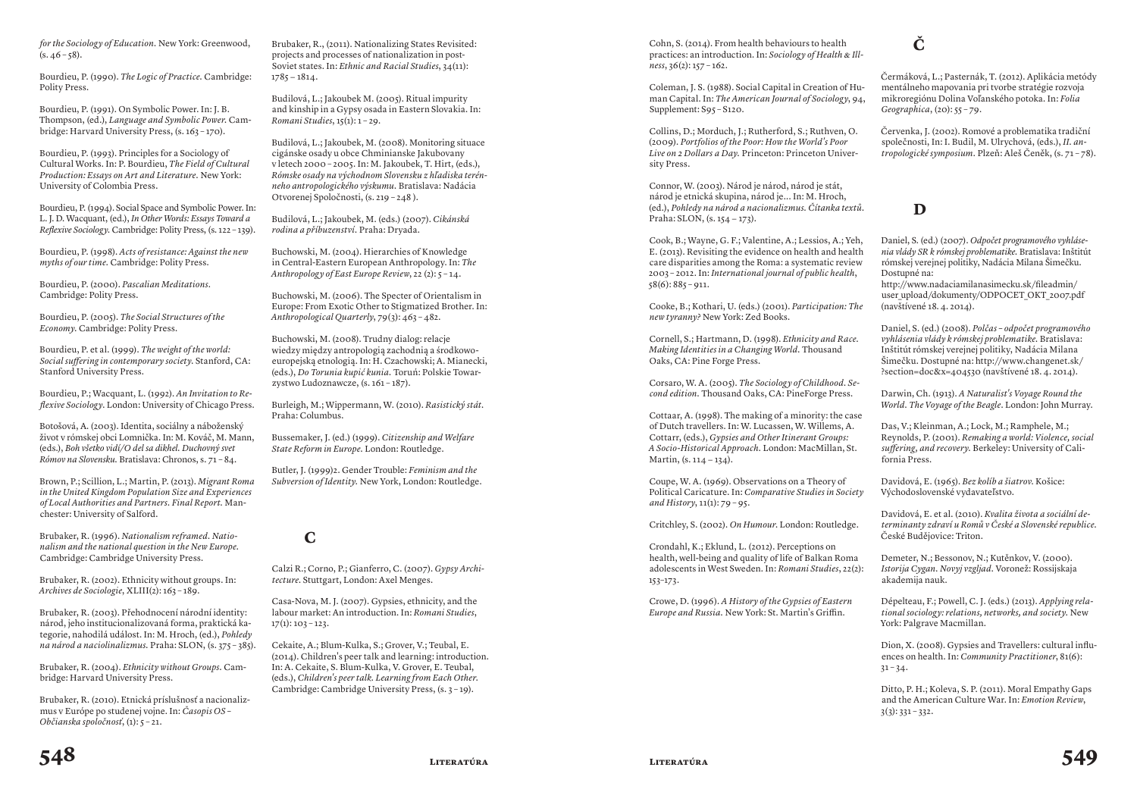*for the Sociology of Education.* New York: Greenwood,  $(s. 46 - 58).$ 

Bourdieu, P. (1990). *The Logic of Practice.* Cambridge: Polity Press.

Bourdieu, P. (1991). On Symbolic Power. In: J. B. Thompson, (ed.), *Language and Symbolic Power.* Cambridge: Harvard University Press, (s. 163 – 170).

Bourdieu, P. (1993). Principles for a Sociology of Cultural Works. In: P. Bourdieu, *The Field of Cultural Production: Essays on Art and Literature.* New York: University of Colombia Press.

Bourdieu, P. (1994). Social Space and Symbolic Power. In: L. J. D. Wacquant, (ed.), *In Other Words: Essays Toward a Reflexive Sociology.* Cambridge: Polity Press, (s. 122 – 139).

Bourdieu, P. (1998). *Acts of resistance: Against the new myths of our time.* Cambridge: Polity Press.

Bourdieu, P. (2000). *Pascalian Meditations*. Cambridge: Polity Press.

Bourdieu, P. (2005). *The Social Structures of the Economy.* Cambridge: Polity Press.

Bourdieu, P. et al. (1999). *The weight of the world: Social suffering in contemporary society.* Stanford, CA: Stanford University Press.

Bourdieu, P.; Wacquant, L. (1992). *An Invitation to Reflexive Sociology*. London: University of Chicago Press.

Botošová, A. (2003). Identita, sociálny a náboženský život v rómskej obci Lomnička. In: M. Kováč, M. Mann, (eds.), *Boh všetko vidí/O del sa dikhel. Duchovný svet Rómov na Slovensku.* Bratislava: Chronos, s. 71 – 84.

Brown, P.; Scillion, L.; Martin, P. (2013). *Migrant Roma in the United Kingdom Population Size and Experiences of Local Authorities and Partners. Final Report.* Manchester: University of Salford.

Brubaker, R. (1996). *Nationalism reframed. Nationalism and the national question in the New Europe.* Cambridge: Cambridge University Press.

Brubaker, R. (2002). Ethnicity without groups. In: *Archives de Sociologie*, XLIII(2): 163 – 189.

Brubaker, R. (2003). Přehodnocení národní identity: národ, jeho institucionalizovaná forma, praktická kategorie, nahodilá událost. In: M. Hroch, (ed.), *Pohledy na národ a naciolinalizmus.* Praha: SLON, (s. 375 – 385).

Brubaker, R. (2004). *Ethnicity without Groups.* Cambridge: Harvard University Press.

Brubaker, R. (2010). Etnická príslušnosť a nacionalizmus v Európe po studenej vojne. In: *Časopis OS – Občianska spoločnosť*, (1): 5 – 21.

Brubaker, R., (2011). Nationalizing States Revisited: projects and processes of nationalization in post-Soviet states. In: *Ethnic and Racial Studies*, 34(11): 1785 − 1814.

Budilová, L.; Jakoubek M. (2005). Ritual impurity and kinship in a Gypsy osada in Eastern Slovakia. In: *Romani Studies*, 15(1): 1 – 29.

Budilová, L.; Jakoubek, M. (2008). Monitoring situace cigánske osady u obce Chminianske Jakubovany v letech 2000 – 2005. In: M. Jakoubek, T. Hirt, (eds.), *Rómske osady na východnom Slovensku z hľadiska terénneho antropologického výskumu.* Bratislava: Nadácia Otvorenej Spoločnosti, (s. 219 – 248 ).

Budilová, L.; Jakoubek, M. (eds.) (2007). *Cikánská rodina a příbuzenství.* Praha: Dryada.

Buchowski, M. (2004). Hierarchies of Knowledge in Central-Eastern European Anthropology. In: *The Anthropology of East Europe Review*, 22 (2): 5 – 14.

Buchowski, M. (2006). The Specter of Orientalism in Europe: From Exotic Other to Stigmatized Brother. In: *Anthropological Quarterly*, 79(3): 463 – 482.

Buchowski, M. (2008). Trudny dialog: relacje wiedzy między antropologią zachodnią a środkowoeuropejską etnologią. In: H. Czachowski; A. Mianecki, (eds.), *Do Torunia kupić kunia.* Toruń: Polskie Towarzystwo Ludoznawcze, (s. 161 – 187).

Burleigh, M.; Wippermann, W. (2010). *Rasistický stát*. Praha: Columbus.

Bussemaker, J. (ed.) (1999). *Citizenship and Welfare State Reform in Europe.* London: Routledge.

Butler, J. (1999)2. Gender Trouble: *Feminism and the Subversion of Identity.* New York, London: Routledge.

#### **C**

Calzi R.; Corno, P.; Gianferro, C. (2007). *Gypsy Architecture.* Stuttgart, London: Axel Menges.

Casa-Nova, M. J. (2007). Gypsies, ethnicity, and the labour market: An introduction. In: *Romani Studies*,  $17(1): 103 - 123.$ 

Cekaite, A.; Blum-Kulka, S.; Grover, V.; Teubal, E. (2014). Children's peer talk and learning: introduction. In: A. Cekaite, S. Blum-Kulka, V. Grover, E. Teubal, (eds.), *Children's peer talk. Learning from Each Other.* Cambridge: Cambridge University Press, (s. 3 – 19).

Cohn, S. (2014). From health behaviours to health practices: an introduction. In: *Sociology of Health & Illness*, 36(2): 157 – 162.

Coleman, J. S. (1988). Social Capital in Creation of Human Capital. In: *The American Journal of Sociology*, 94, Supplement: S95 – S120.

Collins, D.; Morduch, J.; Rutherford, S.; Ruthven, O. (2009). *Portfolios of the Poor: How the World's Poor Live on 2 Dollars a Day.* Princeton: Princeton University Press.

Connor, W. (2003). Národ je národ, národ je stát, národ je etnická skupina, národ je... In: M. Hroch, (ed.), *Pohledy na národ a nacionalizmus. Čítanka textů.* Praha: SLON, (s. 154 − 173).

Cook, B.; Wayne, G. F.; Valentine, A.; Lessios, A.; Yeh, E. (2013). Revisiting the evidence on health and health care disparities among the Roma: a systematic review 2003 – 2012. In: *International journal of public health*,  $58(6): 885 - 911.$ 

Cooke, B.; Kothari, U. (eds.) (2001). *Participation: The new tyranny?* New York: Zed Books.

Cornell, S.; Hartmann, D. (1998). *Ethnicity and Race. Making Identities in a Changing World.* Thousand Oaks, CA: Pine Forge Press.

Corsaro, W. A. (2005). *The Sociology of Childhood. Second edition.* Thousand Oaks, CA: PineForge Press.

Cottaar, A. (1998). The making of a minority: the case of Dutch travellers. In: W. Lucassen, W. Willems, A. Cottarr, (eds.), *Gypsies and Other Itinerant Groups: A Socio-Historical Approach.* London: MacMillan, St. Martin, (s. 114 − 134).

Coupe, W. A. (1969). Observations on a Theory of Political Caricature. In: *Comparative Studies in Society and History*, 11(1): 79 – 95.

Critchley, S. (2002). *On Humour*. London: Routledge.

Crondahl, K.; Eklund, L. (2012). Perceptions on health, well-being and quality of life of Balkan Roma adolescents in West Sweden. In: *Romani Studies*, 22(2): 153–173.

Crowe, D. (1996). *A History of the Gypsies of Eastern Europe and Russia.* New York: St. Martin's Griffin.

**Č**

Čermáková, L.; Pasternák, T. (2012). Aplikácia metódy mentálneho mapovania pri tvorbe stratégie rozvoja mikroregiónu Dolina Voľanského potoka. In: *Folia Geographica*, (20): 55 – 79.

Červenka, J. (2002). Romové a problematika tradiční společnosti, In: I. Budil, M. Ulrychová, (eds.), *II. antropologické symposium.* Plzeň: Aleš Čeněk, (s. 71 – 78).

## **D**

Daniel, S. (ed.) (2007). *Odpočet programového vyhlásenia vlády SR k rómskej problematike.* Bratislava: Inštitút rómskej verejnej politiky, Nadácia Milana Šimečku. Dostupné na:

http://www.nadaciamilanasimecku.sk/fileadmin/ user upload/dokumenty/ODPOCET OKT 2007.pdf (navštívené 18. 4. 2014).

Daniel, S. (ed.) (2008). *Polčas – odpočet programového vyhlásenia vlády k rómskej problematike.* Bratislava: Inštitút rómskej verejnej politiky, Nadácia Milana Šimečku. Dostupné na: http://www.changenet.sk/ ?section=doc&x=404530 (navštívené 18. 4. 2014).

Darwin, Ch. (1913). *A Naturalist's Voyage Round the World. The Voyage of the Beagle*. London: John Murray.

Das, V.; Kleinman, A.; Lock, M.; Ramphele, M.; Reynolds, P. (2001). *Remaking a world: Violence, social suffering, and recovery.* Berkeley: University of California Press.

Davidová, E. (1965). *Bez kolíb a šiatrov*. Košice: Východoslovenské vydavateľstvo.

Davidová, E. et al. (2010). *Kvalita života a sociální determinanty zdraví u Romů v České a Slovenské republice.* České Budějovice: Triton.

Demeter, N.; Bessonov, N.; Kutěnkov, V. (2000). *Istorija Cygan. Novyj vzgljad.* Voronež: Rossijskaja akademija nauk.

Dépelteau, F.; Powell, C. J. (eds.) (2013). *Applying relational sociology: relations, networks, and society.* New York: Palgrave Macmillan.

Dion, X. (2008). Gypsies and Travellers: cultural influences on health. In: *Community Practitioner*, 81(6):  $31 - 34.$ 

Ditto, P. H.; Koleva, S. P. (2011). Moral Empathy Gaps and the American Culture War. In: *Emotion Review*,  $3(3)$ : 331 – 332.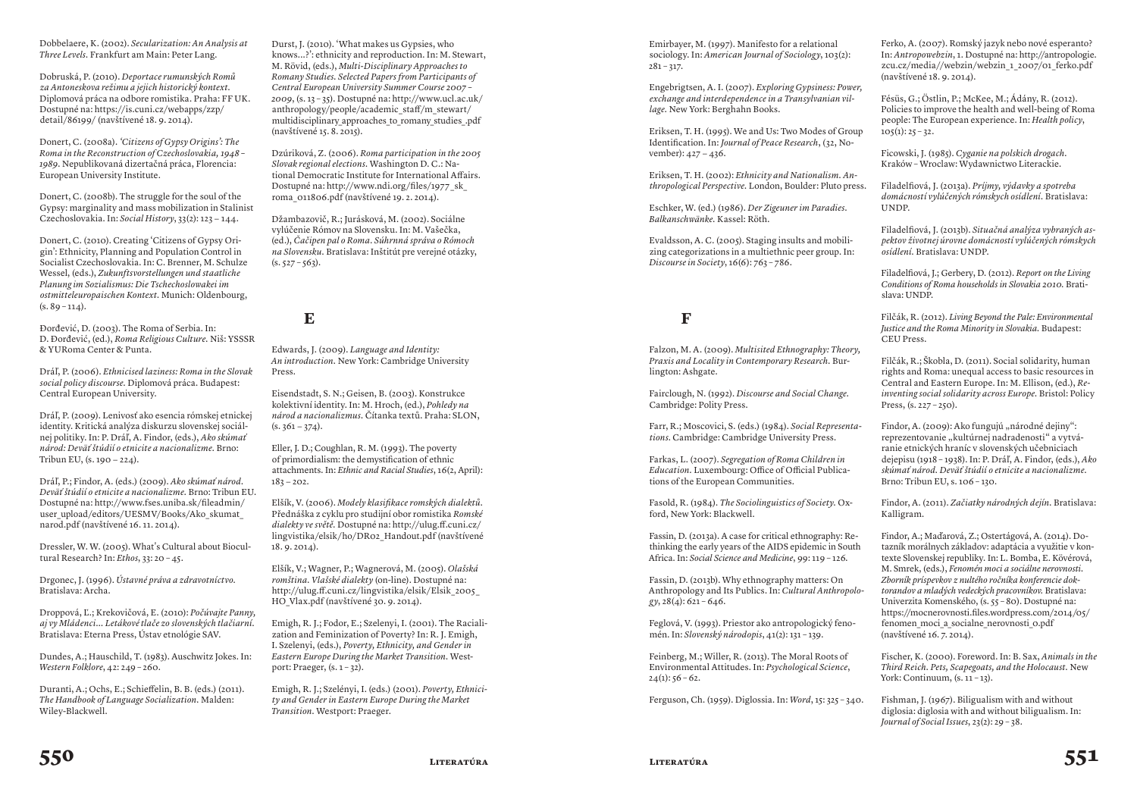Dobbelaere, K. (2002). *Secularization: An Analysis at Three Levels.* Frankfurt am Main: Peter Lang.

Dobruská, P. (2010). *Deportace rumunských Romů za Antoneskova režimu a jejich historický kontext.* Diplomová práca na odbore romistika. Praha: FF UK. Dostupné na: https://is.cuni.cz/webapps/zzp/ detail/86199/ (navštívené 18. 9. 2014).

Donert, C. (2008a). *'Citizens of Gypsy Origins': The Roma in the Reconstruction of Czechoslovakia, 1948 – 1989*. Nepublikovaná dizertačná práca, Florencia: European University Institute.

Donert, C. (2008b). The struggle for the soul of the Gypsy: marginality and mass mobilization in Stalinist Czechoslovakia. In: *Social History*, 33(2): 123 − 144.

Donert, C. (2010). Creating 'Citizens of Gypsy Origin': Ethnicity, Planning and Population Control in Socialist Czechoslovakia. In: C. Brenner, M. Schulze Wessel, (eds.), *Zukunftsvorstellungen und staatliche Planung im Sozialismus: Die Tschechoslowakei im ostmitteleuropaischen Kontext.* Munich: Oldenbourg,  $(s. 89 - 114)$ .

Đorđević, D. (2003). The Roma of Serbia. In: D. Đorđević, (ed.), *Roma Religious Culture.* Niš: YSSSR & YURoma Center & Punta.

Dráľ, P. (2006). *Ethnicised laziness: Roma in the Slovak social policy discourse.* Diplomová práca. Budapest: Central European University.

Dráľ, P. (2009). Lenivosť ako esencia rómskej etnickej identity. Kritická analýza diskurzu slovenskej sociálnej politiky. In: P. Dráľ, A. Findor, (eds.), *Ako skúmať národ: Deväť štúdií o etnicite a nacionalizme.* Brno: Tribun EU, (s. 190 − 224).

Dráľ, P.; Findor, A. (eds.) (2009). *Ako skúmať národ. Deväť štúdií o etnicite a nacionalizme.* Brno: Tribun EU. Dostupné na: http://www.fses.uniba.sk/fileadmin/ user\_upload/editors/UESMV/Books/Ako\_skumat narod.pdf (navštívené 16. 11. 2014).

Dressler, W. W. (2005). What's Cultural about Biocultural Research? In: *Ethos*, 33: 20 – 45.

Drgonec, J. (1996). *Ústavné práva a zdravotníctvo*. Bratislava: Archa.

Droppová, Ľ.; Krekovičová, E. (2010): *Počúvajte Panny, aj vy Mládenci... Letákové tlače zo slovenských tlačiarní.* Bratislava: Eterna Press, Ústav etnológie SAV.

Dundes, A.; Hauschild, T. (1983). Auschwitz Jokes. In: *Western Folklore*, 42: 249 – 260.

Duranti, A.; Ochs, E.; Schieffelin, B. B. (eds.) (2011). *The Handbook of Language Socialization.* Malden: Wiley-Blackwell.

Durst, J. (2010). 'What makes us Gypsies, who knows...?': ethnicity and reproduction. In: M. Stewart, M. Rövid, (eds.), *Multi-Disciplinary Approaches to Romany Studies. Selected Papers from Participants of Central European University Summer Course 2007 – 2009*, (s. 13 – 35). Dostupné na: http://www.ucl.ac.uk/ anthropology/people/academic\_staff/m\_stewart/ multidisciplinary approaches to romany studies .pdf (navštívené 15. 8. 2015).

Dzúriková, Z. (2006). *Roma participation in the 2005 Slovak regional elections.* Washington D. C.: National Democratic Institute for International Affairs. Dostupné na: http://www.ndi.org/files/1977\_sk\_ roma\_011806.pdf (navštívené 19. 2. 2014).

Džambazovič, R.; Jurásková, M. (2002). Sociálne vylúčenie Rómov na Slovensku. In: M. Vašečka, (ed.), *Čačipen pal o Roma. Súhrnná správa o Rómoch na Slovensku.* Bratislava: Inštitút pre verejné otázky,  $(s. 527 - 563)$ .

#### **E**

Edwards, J. (2009). *Language and Identity: An introduction.* New York: Cambridge University Press.

Eisendstadt, S. N.; Geisen, B. (2003). Konstrukce kolektivní identity. In: M. Hroch, (ed.), *Pohledy na národ a nacionalizmus.* Čítanka textů. Praha: SLON,  $(s. 361 - 374)$ .

Eller, J. D.; Coughlan, R. M. (1993). The poverty of primordialism: the demystification of ethnic attachments. In: *Ethnic and Racial Studies*, 16(2, April): 183 − 202.

Elšík, V. (2006). *Modely klasifikace romských dialektů.*  Přednáška z cyklu pro studijní obor romistika *Romské dialekty ve světě.* Dostupné na: http://ulug.ff.cuni.cz/ lingvistika/elsik/ho/DR02\_Handout.pdf (navštívené 18. 9. 2014).

Elšík, V.; Wagner, P.; Wagnerová, M. (2005). *Olašská romština. Vlašské dialekty* (on-line). Dostupné na: http://ulug.ff.cuni.cz/lingvistika/elsik/Elsik\_2005\_ HO\_Vlax.pdf (navštívené 30. 9. 2014).

Emigh, R. J.; Fodor, E.; Szelenyi, I. (2001). The Racialization and Feminization of Poverty? In: R. J. Emigh, I. Szelenyi, (eds.), *Poverty, Ethnicity, and Gender in Eastern Europe During the Market Transition.* Westport: Praeger,  $(s. 1 - 32)$ .

Emigh, R. J.; Szelényi, I. (eds.) (2001). *Poverty, Ethnicity and Gender in Eastern Europe During the Market Transition.* Westport: Praeger.

Emirbayer, M. (1997). Manifesto for a relational sociology. In: *American Journal of Sociology*, 103(2):  $281 - 317.$ 

Engebrigtsen, A. I. (2007). *Exploring Gypsiness: Power, exchange and interdependence in a Transylvanian village.* New York: Berghahn Books.

Eriksen, T. H. (1995). We and Us: Two Modes of Group Identification. In: *Journal of Peace Research*, (32, November): 427 − 436.

Eriksen, T. H. (2002): *Ethnicity and Nationalism. Anthropological Perspective.* London, Boulder: Pluto press.

Eschker, W. (ed.) (1986). *Der Zigeuner im Paradies. Balkanschwänke.* Kassel: Röth.

Evaldsson, A. C. (2005). Staging insults and mobilizing categorizations in a multiethnic peer group. In: *Discourse in Society*, 16(6): 763 – 786.

### **F**

Falzon, M. A. (2009). *Multisited Ethnography: Theory, Praxis and Locality in Contemporary Research.* Burlington: Ashgate.

Fairclough, N. (1992). *Discourse and Social Change.*  Cambridge: Polity Press.

Farr, R.; Moscovici, S. (eds.) (1984). *Social Representations*. Cambridge: Cambridge University Press.

Farkas, L. (2007). *Segregation of Roma Children in*  Education. Luxembourg: Office of Official Publications of the European Communities.

Fasold, R. (1984). *The Sociolinguistics of Society.* Oxford, New York: Blackwell.

Fassin, D. (2013a). A case for critical ethnography: Rethinking the early years of the AIDS epidemic in South Africa. In: *Social Science and Medicine*, 99: 119 – 126.

Fassin, D. (2013b). Why ethnography matters: On Anthropology and Its Publics. In: *Cultural Anthropology*, 28(4): 621 – 646.

Feglová, V. (1993). Priestor ako antropologický fenomén. In: *Slovenský národopis*, 41(2): 131 – 139.

Feinberg, M.; Willer, R. (2013). The Moral Roots of Environmental Attitudes. In: *Psychological Science*,  $24(1): 56 - 62.$ 

Ferguson, Ch. (1959). Diglossia. In: *Word*, 15: 325 – 340.

Ferko, A. (2007). Romský jazyk nebo nové esperanto? In: *Antropowebzin*, 1. Dostupné na: http://antropologie. zcu.cz/media//webzin/webzin\_1\_2007/01\_ferko.pdf (navštívené 18. 9. 2014).

Fésüs, G.; Östlin, P.; McKee, M.; Ádány, R. (2012). Policies to improve the health and well-being of Roma people: The European experience. In: *Health policy*,  $105(1): 25 - 32.$ 

Ficowski, J. (1985). *Cyganie na polskich drogach*. Kraków – Wroclaw: Wydawnictwo Literackie.

Filadelfiová, J. (2013a). *Príjmy, výdavky a spotreba domácností vylúčených rómskych osídlení.* Bratislava: UNDP.

Filadelfiová, J. (2013b). *Situačná analýza vybraných aspektov životnej úrovne domácností vylúčených rómskych osídlení.* Bratislava: UNDP.

Filadelfiová, J.; Gerbery, D. (2012). *Report on the Living Conditions of Roma households in Slovakia 2010.* Bratislava: UNDP.

Filčák, R. (2012). *Living beyond the pale: Environmental justice and the Roma minority in Slovakia.* Budapest: CEU Press.

Filčák, R.; Škobla, D. (2011). Social solidarity, human rights and Roma: unequal access to basic resources in Central and Eastern Europe. In: M. Ellison, (ed.), *Reinventing social solidarity across Europe.* Bristol: Policy Press, (s. 227 – 250).

Findor, A. (2009): Ako fungujú "národné dejiny": reprezentovanie "kultúrnej nadradenosti" a vytváranie etnických hraníc v slovenských učebniciach dejepisu (1918 – 1938). In: P. Dráľ, A. Findor, (eds.), *Ako skúmať národ. Deväť štúdií o etnicite a nacionalizme.* Brno: Tribun EU, s. 106 – 130.

Findor, A. (2011). *Začiatky národných dejín.* Bratislava: Kalligram.

Findor, A.; Maďarová, Z.; Ostertágová, A. (2014). Dotazník morálnych základov: adaptácia a využitie v kontexte Slovenskej republiky. In: L. Bomba, E. Kövérová, M. Smrek, (eds.), *Fenomén moci a sociálne nerovnosti. Zborník príspevkov z nultého ročníka konferencie doktorandov a mladých vedeckých pracovníkov.* Bratislava: Univerzita Komenského, (s. 55 – 80). Dostupné na: https://mocnerovnosti.files.wordpress.com/2014/05/ fenomen moci a socialne nerovnosti 0.pdf (navštívené 16. 7. 2014).

Fischer, K. (2000). Foreword. In: B. Sax, *Animals in the Third Reich. Pets, Scapegoats, and the Holocaust.* New York: Continuum,  $(s. 11 - 13)$ .

Fishman, J. (1967). Biligualism with and without diglosia: diglosia with and without biligualism. In: *Journal of Social Issues*, 23(2): 29 – 38.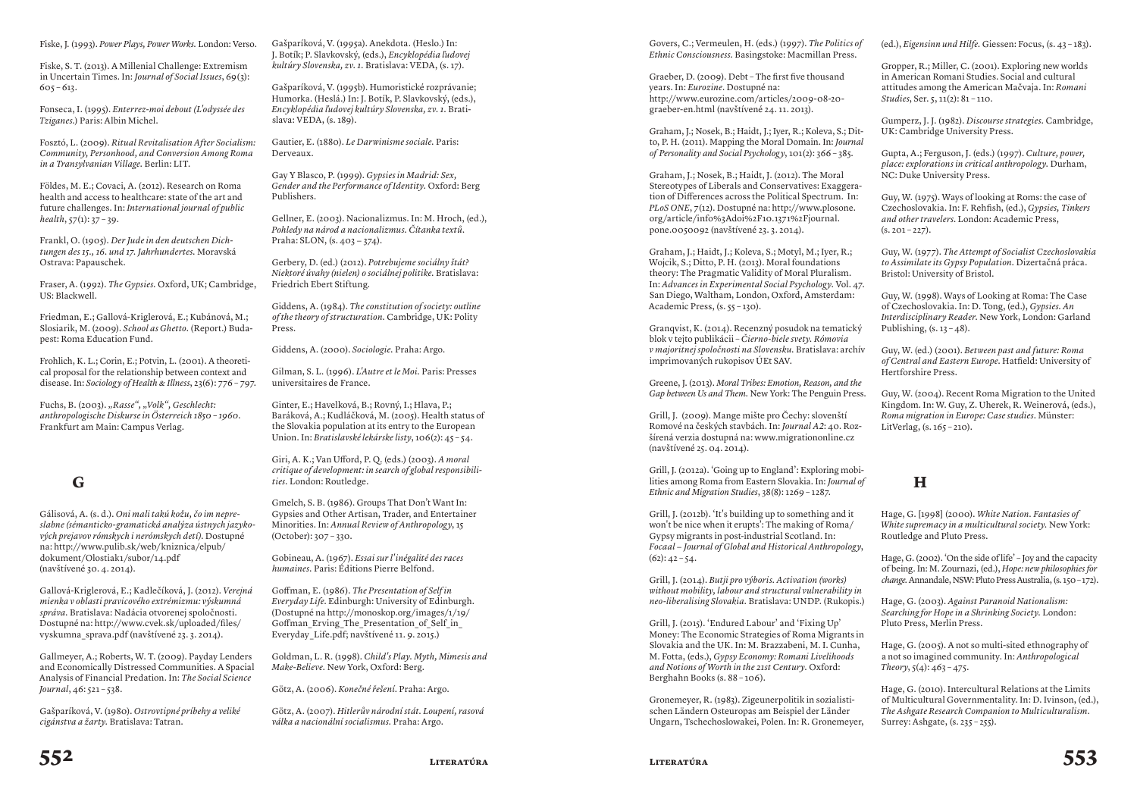Fiske, J. (1993). *Power Plays, Power Works.* London: Verso.

Fiske, S. T. (2013). A Millenial Challenge: Extremism in Uncertain Times. In: *Journal of Social Issues*, 69(3): 605 – 613.

Fonseca, I. (1995). *Enterrez-moi debout (L'odyssée des Tziganes.*) Paris: Albin Michel.

Fosztó, L. (2009). *Ritual Revitalisation After Socialism: Community, Personhood, and Conversion Among Roma in a Transylvanian Village.* Berlin: LIT.

Földes, M. E.; Covaci, A. (2012). Research on Roma health and access to healthcare: state of the art and future challenges. In: *International journal of public health*, 57(1): 37 – 39.

Frankl, O. (1905). *Der Jude in den deutschen Dichtungen des 15., 16. und 17. Jahrhundertes.* Moravská Ostrava: Papauschek.

Fraser, A. (1992). *The Gypsies.* Oxford, UK; Cambridge, US: Blackwell.

Friedman, E.; Gallová-Kriglerová, E.; Kubánová, M.; Slosiarik, M. (2009). *School as Ghetto*. (Report.) Budapest: Roma Education Fund.

Frohlich, K. L.; Corin, E.; Potvin, L. (2001). A theoretical proposal for the relationship between context and disease. In: *Sociology of Health & Illness*, 23(6): 776 - 797.

Fuchs, B. (2003). *"Rasse", "Volk", Geschlecht: anthropologische Diskurse in Österreich 1850 – 1960*. Frankfurt am Main: Campus Verlag.

### **G**

Gálisová, A. (s. d.). *Oni mali takú kožu, čo im nepreslabne (sémanticko-gramatická analýza ústnych jazykových prejavov rómskych i nerómskych detí)*. Dostupné na: http://www.pulib.sk/web/kniznica/elpub/ dokument/Olostiak1/subor/14.pdf (navštívené 30. 4. 2014).

Gallová-Kriglerová, E.; Kadlečíková, J. (2012). *Verejná mienka v oblasti pravicového extrémizmu: výskumná správa.* Bratislava: Nadácia otvorenej spoločnosti. Dostupné na: http://www.cvek.sk/uploaded/files/ vyskumna\_sprava.pdf (navštívené 23. 3. 2014).

Gallmeyer, A.; Roberts, W. T. (2009). Payday Lenders and Economically Distressed Communities. A Spacial Analysis of Financial Predation. In: *The Social Science Journal*, 46: 521 – 538.

Gašparíková, V. (1980). *Ostrovtipné príbehy a veliké cigánstva a žarty.* Bratislava: Tatran.

Gašparíková, V. (1995a). Anekdota. (Heslo.) In: J. Botík; P. Slavkovský, (eds.), *Encyklopédia ľudovej kultúry Slovenska, zv. 1.* Bratislava: VEDA, (s. 17).

Gašparíková, V. (1995b). Humoristické rozprávanie; Humorka. (Heslá.) In: J. Botík, P. Slavkovský, (eds.), *Encyklopédia ľudovej kultúry Slovenska, zv. 1.* Bratislava: VEDA, (s. 189).

Gautier, E. (1880). *Le Darwinisme sociale.* Paris: Derveaux.

Gay Y Blasco, P. (1999). *Gypsies in Madrid: Sex, Gender and the Performance of Identity.* Oxford: Berg Publishers.

Gellner, E. (2003). Nacionalizmus. In: M. Hroch, (ed.), *Pohledy na národ a nacionalizmus. Čítanka textů.* Praha: SLON, (s. 403 − 374).

Gerbery, D. (ed.) (2012). *Potrebujeme sociálny štát? Niektoré úvahy (nielen) o sociálnej politike.* Bratislava: Friedrich Ebert Stiftung.

Giddens, A. (1984). *The constitution of society: outline of the theory of structuration.* Cambridge, UK: Polity Press.

Giddens, A. (2000). *Sociologie.* Praha: Argo.

Gilman, S. L. (1996). *L'Autre et le Moi.* Paris: Presses universitaires de France.

Ginter, E.; Havelková, B.; Rovný, I.; Hlava, P.; Baráková, A.; Kudláčková, M. (2005). Health status of the Slovakia population at its entry to the European Union. In: *Bratislavské lekárske listy*, 106(2): 45 – 54.

Giri, A. K.; Van Ufford, P. Q. (eds.) (2003). *A moral critique of development: in search of global responsibilities.* London: Routledge.

Gmelch, S. B. (1986). Groups That Don't Want In: Gypsies and Other Artisan, Trader, and Entertainer Minorities. In: *Annual Review of Anthropology*, 15 (October): 307 – 330.

Gobineau, A. (1967). *Essai sur l'inégalité des races humaines.* Paris: Éditions Pierre Belfond.

Goffman, E. (1986). *The Presentation of Self in Everyday Life*. Edinburgh: University of Edinburgh. (Dostupné na http://monoskop.org/images/1/19/ Goffman Erving The Presentation of Self in Everyday\_Life.pdf; navštívené 11. 9. 2015.)

Goldman, L. R. (1998). *Child's Play. Myth, Mimesis and Make-Believe.* New York, Oxford: Berg.

Götz, A. (2006). *Konečné řešení*. Praha: Argo.

Götz, A. (2007). *Hitlerův národní stát. Loupení, rasová válka a nacionální socialismus.* Praha: Argo.

Govers, C.; Vermeulen, H. (eds.) (1997). *The Politics of Ethnic Consciousness.* Basingstoke: Macmillan Press.

Graeber, D. (2009). Debt – The first five thousand years. In: *Eurozine*. Dostupné na: http://www.eurozine.com/articles/2009-08-20 graeber-en.html (navštívené 24. 11. 2013).

Graham, J.; Nosek, B.; Haidt, J.; Iyer, R.; Koleva, S.; Ditto, P. H. (2011). Mapping the Moral Domain. In: *Journal of  Personality and Social Psycholog y*, 101(2): 366 – 385.

Graham, J.; Nosek, B.; Haidt, J. (2012). The Moral Stereotypes of Liberals and Conservatives: Exaggeration of Differences across the Political Spectrum. In: *PLoS ONE*, 7(12). Dostupné na: http://www.plosone. org/article/info%3Adoi%2F10.1371%2Fjournal. pone.0050092 (navštívené 23. 3. 2014).

Graham, J.; Haidt, J.; Koleva, S.; Motyl, M.; Iyer, R.; Wojcik, S.; Ditto, P. H. (2013). Moral foundations theory: The Pragmatic Validity of Moral Pluralism. In: *Advances in Experimental Social Psychology.* Vol. 47. San Diego, Waltham, London, Oxford, Amsterdam: Academic Press, (s. 55 – 130).

Granqvist, K. (2014). Recenzný posudok na tematický blok v tejto publikácii – *Čierno-biele svety. Rómovia v majoritnej spoločnosti na Slovensku.* Bratislava: archív imprimovaných rukopisov ÚEt SAV.

Greene, J. (2013). *Moral Tribes: Emotion, Reason, and the Gap between Us and Them.* New York: The Penguin Press.

Grill, J. (2009). Mange mište pro Čechy: slovenští Romové na českých stavbách. In: *Journal A2*: 40. Rozšírená verzia dostupná na: www.migrationonline.cz (navštívené 25. 04. 2014).

Grill, J. (2012a). 'Going up to England': Exploring mobilities among Roma from Eastern Slovakia. In: *Journal of Ethnic and Migration Studies*, 38(8): 1269 – 1287.

Grill, J. (2012b). 'It's building up to something and it won't be nice when it erupts': The making of Roma/ Gypsy migrants in post-industrial Scotland. In: *Focaal − Journal of Global and Historical Anthropology*,  $(62): 42 - 54.$ 

Grill, J. (2014). *Butji pro výboris. Activation (works) without mobility, labour and structural vulnerability in neo-liberalising Slovakia.* Bratislava: UNDP. (Rukopis.)

Grill, J. (2015). 'Endured Labour' and 'Fixing Up' Money: The Economic Strategies of Roma Migrants in Slovakia and the UK. In: M. Brazzabeni, M. I. Cunha, M. Fotta, (eds.), *Gypsy Economy: Romani Livelihoods and Notions of Worth in the 21st Century.* Oxford: Berghahn Books (s. 88 – 106).

Gronemeyer, R. (1983). Zigeunerpolitik in sozialistischen Ländern Osteuropas am Beispiel der Länder Ungarn, Tschechoslowakei, Polen. In: R. Gronemeyer, (ed.), *Eigensinn und Hilfe.* Giessen: Focus, (s. 43 – 183).

Gropper, R.; Miller, C. (2001). Exploring new worlds in American Romani Studies. Social and cultural attitudes among the American Mačvaja. In: *Romani Studies*, Ser. 5, 11(2): 81 – 110.

Gumperz, J. J. (1982). *Discourse strategies.* Cambridge, UK: Cambridge University Press.

Gupta, A.; Ferguson, J. (eds.) (1997). *Culture, power, place: explorations in critical anthropology.* Durham, NC: Duke University Press.

Guy, W. (1975). Ways of looking at Roms: the case of Czechoslovakia. In: F. Rehfish, (ed.), *Gypsies, Tinkers and other travelers*. London: Academic Press,  $(s. 201 - 227)$ .

Guy, W. (1977). *The Attempt of Socialist Czechoslovakia to Assimilate its Gypsy Population.* Dizertačná práca. Bristol: University of Bristol.

Guy, W. (1998). Ways of Looking at Roma: The Case of Czechoslovakia. In: D. Tong, (ed.), *Gypsies. An Interdisciplinary Reader*. New York, London: Garland Publishing,  $(s. 13 - 48)$ .

Guy, W. (ed.) (2001). *Between past and future: Roma of Central and Eastern Europe*. Hatfield: University of Hertforshire Press.

Guy, W. (2004). Recent Roma Migration to the United Kingdom. In: W. Guy, Z. Uherek, R. Weinerová, (eds.), *Roma migration in Europe: Case studies*. Münster: LitVerlag, (s. 165 – 210).

## **H**

Hage, G. [1998] (2000). *White Nation. Fantasies of White supremacy in a multicultural society.* New York: Routledge and Pluto Press.

Hage, G. (2002). 'On the side of life' – Joy and the capacity of being. In: M. Zournazi, (ed.), *Hope: new philosophies for change.* Annandale, NSW: Pluto Press Australia, (s. 150 – 172).

Hage, G. (2003). *Against Paranoid Nationalism: Searching for Hope in a Shrinking Society.* London: Pluto Press, Merlin Press.

Hage, G. (2005). A not so multi-sited ethnography of a not so imagined community. In: *Anthropological Theory*,  $5(4)$ :  $463 - 475$ .

Hage, G. (2010). Intercultural Relations at the Limits of Multicultural Governmentality. In: D. Ivinson, (ed.), *The Ashgate Research Companion to Multiculturalism.* Surrey: Ashgate, (s. 235 – 255).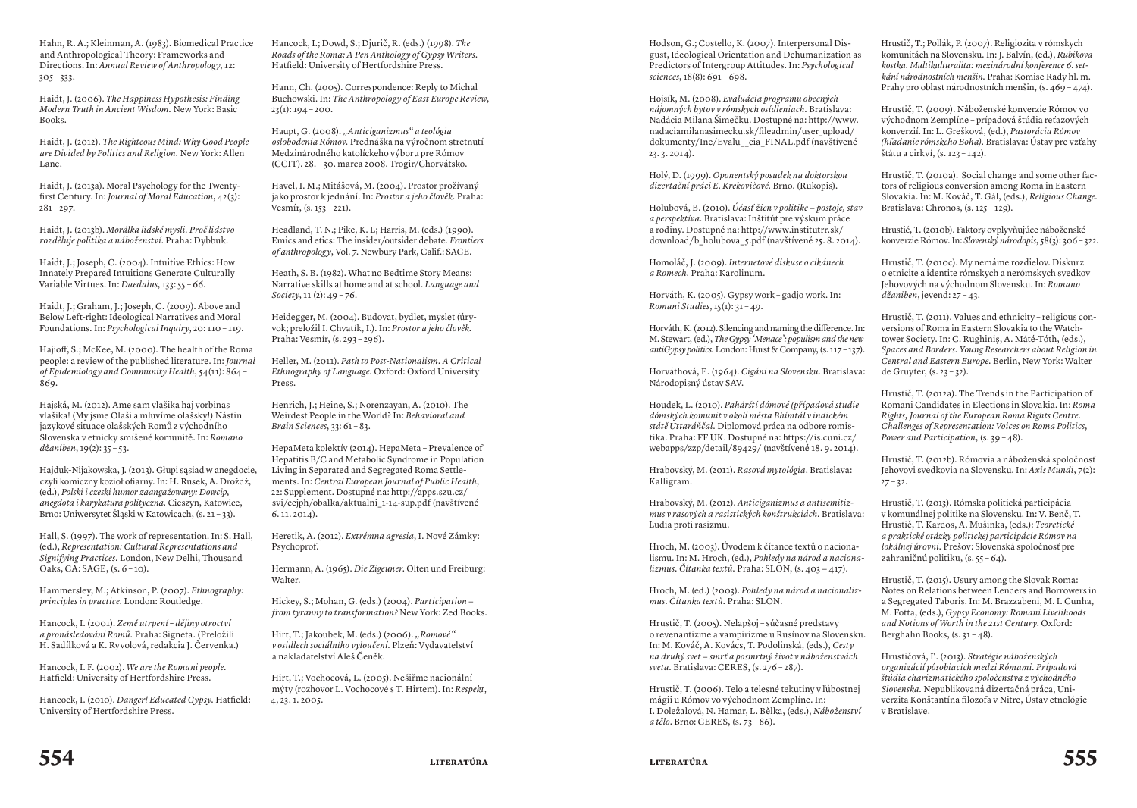Hahn, R. A.; Kleinman, A. (1983). Biomedical Practice and Anthropological Theory: Frameworks and Directions. In: *Annual Review of Anthropology*, 12:  $305 - 333$ .

Haidt, J. (2006). *The Happiness Hypothesis: Finding Modern Truth in Ancient Wisdom.* New York: Basic Books.

Haidt, J. (2012). *The Righteous Mind: Why Good People are Divided by Politics and Religion.* New York: Allen Lane.

Haidt, J. (2013a). Moral Psychology for the Twentyfirst Century. In: *Journal of Moral Education*, 42(3):  $281 - 297$ .

Haidt, J. (2013b). *Morálka lidské mysli. Proč lidstvo rozděluje politika a náboženství*. Praha: Dybbuk.

Haidt, J.; Joseph, C. (2004). Intuitive Ethics: How Innately Prepared Intuitions Generate Culturally Variable Virtues. In: *Daedalus*, 133: 55 – 66.

Haidt, J.; Graham, J.; Joseph, C. (2009). Above and Below Left-right: Ideological Narratives and Moral Foundations. In: *Psychological Inquiry*, 20: 110 – 119.

Hajioff, S.; McKee, M. (2000). The health of the Roma people: a review of the published literature. In: *Journal of Epidemiology and Community Health*, 54(11): 864 – 869.

Hajská, M. (2012). Ame sam vlašika haj vorbinas vlašika! (My jsme Olaši a mluvíme olašsky!) Nástin jazykové situace olašských Romů z východního Slovenska v etnicky smíšené komunitě. In: *Romano džaniben*, 19(2): 35 – 53.

Hajduk-Nijakowska, J. (2013). Głupi sąsiad w anegdocie, czyli komiczny kozioł ofiarny. In: H. Rusek, A. Drożdż, (ed.), *Polski i czeski humor zaangażowany: Dowcip, anegdota i karykatura polityczna.* Cieszyn, Katowice, Brno: Uniwersytet Śląski w Katowicach, (s. 21 – 33).

Hall, S. (1997). The work of representation. In: S. Hall, (ed.), *Representation: Cultural Representations and Signifying Practices.* London, New Delhi, Thousand  $Oaks, CA: SAGE, (s. 6-10).$ 

Hammersley, M.; Atkinson, P. (2007). *Ethnography: principles in practice.* London: Routledge.

Hancock, I. (2001). *Země utrpení – dějiny otroctví a pronásledování Romů.* Praha: Signeta. (Preložili H. Sadílková a K. Ryvolová, redakcia J. Červenka.)

Hancock, I. F. (2002). *We are the Romani people.* Hatfield: University of Hertfordshire Press.

Hancock, I. (2010). *Danger! Educated Gypsy.* Hatfield: University of Hertfordshire Press.

Hancock, I.; Dowd, S.; Djurič, R. (eds.) (1998). *The Roads of the Roma: A Pen Anthology of Gypsy Writers.* Hatfield: University of Hertfordshire Press.

Hann, Ch. (2005). Correspondence: Reply to Michal Buchowski. In: *The Anthropology of East Europe Review*,  $23(1): 194 - 200.$ 

Haupt, G. (2008). *"Anticiganizmus" a teológia oslobodenia Rómov.* Prednáška na výročnom stretnutí Medzinárodného katolíckeho výboru pre Rómov (CCIT). 28. – 30. marca 2008. Trogir/Chorvátsko.

Havel, I. M.; Mitášová, M. (2004). Prostor prožívaný jako prostor k jednání. In: *Prostor a jeho člověk.* Praha: Vesmír, (s. 153 – 221).

Headland, T. N.; Pike, K. L; Harris, M. (eds.) (1990). Emics and etics: The insider/outsider debate*. Frontiers of anthropolog y*, Vol. 7. Newbury Park, Calif.: SAGE.

Heath, S. B. (1982). What no Bedtime Story Means: Narrative skills at home and at school. *Language and Society*, 11 (2): 49 – 76.

Heidegger, M. (2004). Budovat, bydlet, myslet (úryvok; preložil I. Chvatík, I.). In: *Prostor a jeho člověk*. Praha: Vesmír, (s. 293 – 296).

Heller, M. (2011). *Path to Post-Nationalism. A Critical Ethnography of Language.* Oxford: Oxford University Press.

Henrich, J.; Heine, S.; Norenzayan, A. (2010). The Weirdest People in the World? In: *Behavioral and Brain Sciences*, 33: 61 – 83.

HepaMeta kolektív (2014). HepaMeta – Prevalence of Hepatitis B/C and Metabolic Syndrome in Population Living in Separated and Segregated Roma Settlements. In: *Central European Journal of Public Health*, 22: Supplement. Dostupné na: http://apps.szu.cz/ svi/cejph/obalka/aktualni\_1-14-sup.pdf (navštívené 6. 11. 2014).

Heretik, A. (2012). *Extrémna agresia*, I. Nové Zámky: Psychoprof.

Hermann, A. (1965). *Die Zigeuner*. Olten und Freiburg: Walter.

Hickey, S.; Mohan, G. (eds.) (2004). *Participation − from tyranny to transformation?* New York: Zed Books.

Hirt, T.; Jakoubek, M. (eds.) (2006). "Romové" *v osidlech sociálního vyloučení.* Plzeň: Vydavatelství a nakladatelství Aleš Čeněk.

Hirt, T.; Vochocová, L. (2005). Nešiřme nacionální mýty (rozhovor L. Vochocové s T. Hirtem). In: *Respekt*, 4, 23. 1. 2005.

Hodson, G.; Costello, K. (2007). Interpersonal Disgust, Ideological Orientation and Dehumanization as Predictors of Intergroup Attitudes. In: *Psychological sciences*, 18(8): 691 – 698.

Hojsík, M. (2008). *Evaluácia programu obecných nájomných bytov v rómskych osídleniach.* Bratislava: Nadácia Milana Šimečku. Dostupné na: http://www. nadaciamilanasimecku.sk/fileadmin/user\_upload/ dokumenty/Ine/Evalu\_\_cia\_FINAL.pdf (navštívené 23. 3. 2014).

Holý, D. (1999). *Oponentský posudek na doktorskou dizertační práci E. Krekovičové.* Brno. (Rukopis).

Holubová, B. (2010). *Účasť žien v politike − postoje, stav a perspektíva.* Bratislava: Inštitút pre výskum práce a rodiny. Dostupné na: http://www.institutrr.sk/ download/b\_holubova\_ 5.pdf (navštívené 25. 8. 2014).

Homoláč, J. (2009). *Internetové diskuse o cikánech a Romech.* Praha: Karolinum.

Horváth, K. (2005). Gypsy work – gadjo work. In: *Romani Studies*, 15(1): 31 – 49.

Horváth, K. (2012). Silencing and naming the difference. In: M. Stewart, (ed.), *The Gypsy 'Menace': populism and the new antiGypsy politics.* London: Hurst & Company, (s. 117 – 137).

Horváthová, E. (1964). *Cigáni na Slovensku.* Bratislava: Národopisný ústav SAV.

Houdek, L. (2010). *Pahárští dómové (případová studie dómských komunit v okolí města Bhímtál v indickém státě Uttaráňčal.* Diplomová práca na odbore romistika. Praha: FF UK. Dostupné na: https://is.cuni.cz/ webapps/zzp/detail/89429/ (navštívené 18. 9. 2014).

Hrabovský, M. (2011). *Rasová mytológia*. Bratislava: Kalligram.

Hrabovský, M. (2012). *Anticiganizmus a antisemitizmus v rasových a rasistických konštrukciách.* Bratislava: Ľudia proti rasizmu.

Hroch, M. (2003). Úvodem k čítance textů o nacionalismu. In: M. Hroch, (ed.), *Pohledy na národ a nacionalizmus. Čítanka textů.* Praha: SLON, (s. 403 − 417).

Hroch, M. (ed.) (2003). *Pohledy na národ a nacionalizmus. Čítanka textů.* Praha: SLON.

Hrustič, T. (2005). Nelapšoj – súčasné predstavy o revenantizme a vampirizme u Rusínov na Slovensku. In: M. Kováč, A. Kovács, T. Podolinská, (eds.), *Cesty na druhý svet − smrť a posmrtný život v náboženstvách sveta.* Bratislava: CERES, (s. 276 – 287).

Hrustič, T. (2006). Telo a telesné tekutiny v ľúbostnej mágii u Rómov vo východnom Zemplíne. In: I. Doležalová, N. Hamar, L. Bělka, (eds.), *Náboženství a tělo*. Brno: CERES, (s. 73 – 86).

Hrustič, T.; Pollák, P. (2007). Religiozita v rómskych komunitách na Slovensku. In: J. Balvín, (ed.), *Rubikova kostka. Multikulturalita: mezinárodní konference 6. setkání národnostních menšin.* Praha: Komise Rady hl. m. Prahy pro oblast národnostních menšin, (s. 469 – 474).

Hrustič, T. (2009). Náboženské konverzie Rómov vo východnom Zemplíne – prípadová štúdia reťazových konverzií. In: L. Grešková, (ed.), *Pastorácia Rómov (hľadanie rómskeho Boha).* Bratislava: Ústav pre vzťahy štátu a cirkví, (s. 123 – 142).

Hrustič, T. (2010a). Social change and some other factors of religious conversion among Roma in Eastern Slovakia. In: M. Kováč, T. Gál, (eds.), *Religious Change.* Bratislava: Chronos, (s. 125 – 129).

Hrustič, T. (2010b). Faktory ovplyvňujúce náboženské konverzie Rómov. In: *Slovenský národopis*, 58(3): 306 – 322.

Hrustič, T. (2010c). My nemáme rozdielov. Diskurz o etnicite a identite rómskych a nerómskych svedkov Jehovových na východnom Slovensku. In: *Romano džaniben*, jevend: 27 – 43.

Hrustič, T. (2011). Values and ethnicity – religious conversions of Roma in Eastern Slovakia to the Watchtower Society. In: C. Rughiniş, A. Máté-Tóth, (eds.), *Spaces and Borders. Young Researchers about Religion in Central and Eastern Europe.* Berlin, New York: Walter de Gruyter, (s. 23 – 32).

Hrustič, T. (2012a). The Trends in the Participation of Romani Candidates in Elections in Slovakia. In: *Roma Rights, Journal of the European Roma Rights Centre*. *Challenges of Representation: Voices on Roma Politics, Power and Participation*, (s. 39 – 48).

Hrustič, T. (2012b). Rómovia a náboženská spoločnosť Jehovovi svedkovia na Slovensku. In: *Axis Mundi*, 7(2):  $27 - 32.$ 

Hrustič, T. (2013). Rómska politická participácia v komunálnej politike na Slovensku. In: V. Benč, T. Hrustič, T. Kardos, A. Mušinka, (eds.): *Teoretické a praktické otázky politickej participácie Rómov na lokálnej úrovni.* Prešov: Slovenská spoločnosť pre zahraničnú politiku, (s. 55 – 64).

Hrustič, T. (2015). Usury among the Slovak Roma: Notes on Relations between Lenders and Borrowers in a Segregated Taboris. In: M. Brazzabeni, M. I. Cunha, M. Fotta, (eds.), *Gypsy Economy: Romani Livelihoods and Notions of Worth in the 21st Century*. Oxford: Berghahn Books, (s. 31 – 48).

Hrustičová, Ľ. (2013). *Stratégie náboženských organizácií pôsobiacich medzi Rómami. Prípadová štúdia charizmatického spoločenstva z východného Slovenska.* Nepublikovaná dizertačná práca, Univerzita Konštantína filozofa v Nitre, Ústav etnológie v Bratislave.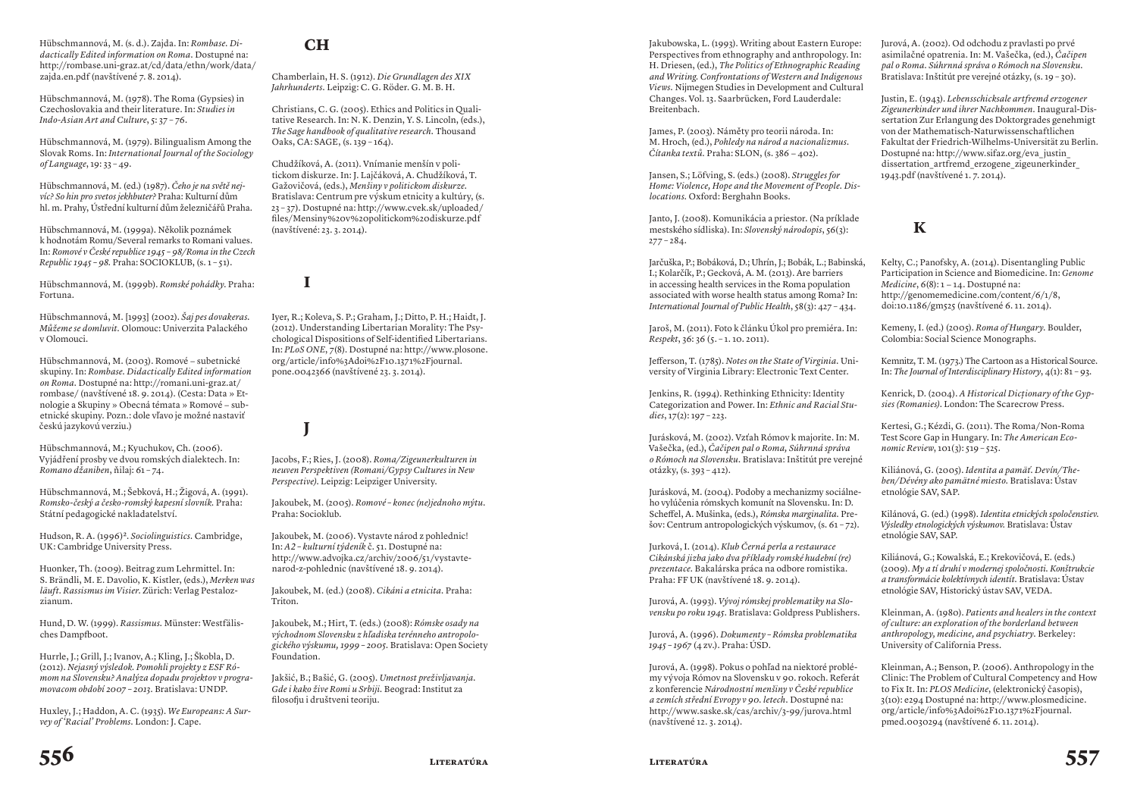#### Hübschmannová, M. (s. d.). Zajda. In: *Rombase. Didactically Edited information on Roma.* Dostupné na: http://rombase.uni-graz.at/cd/data/ethn/work/data/ zajda.en.pdf (navštívené 7. 8. 2014).

Hübschmannová, M. (1978). The Roma (Gypsies) in Czechoslovakia and their literature. In: *Studies in Indo-Asian Art and Culture*, 5: 37 – 76.

Hübschmannová, M. (1979). Bilingualism Among the Slovak Roms. In: *International Journal of the Sociology of Language*, 19: 33 – 49.

Hübschmannová, M. (ed.) (1987). *Čeho je na světě nejvíc? So hin pro svetos jekhbuter?* Praha: Kulturní dům hl. m. Prahy, Ústřední kulturní dům železničářů Praha.

Hübschmannová, M. (1999a). Několik poznámek k hodnotám Romu/Several remarks to Romani values. In: *Romové v České republice 1945 – 98/Roma in the Czech Republic 1945 – 98.* Praha: SOCIOKLUB, (s. 1 – 51).

Hübschmannová, M. (1999b). *Romské pohádky*. Praha: Fortuna.

Hübschmannová, M. [1993] (2002). *Šaj pes dovakeras. Můžeme se domluvit.* Olomouc: Univerzita Palackého v Olomouci.

Hübschmannová, M. (2003). Romové − subetnické skupiny. In: *Rombase. Didactically Edited information on Roma.* Dostupné na: http://romani.uni-graz.at/ rombase/ (navštívené 18. 9. 2014). (Cesta: Data » Etnologie a Skupiny » Obecná témata » Romové − subetnické skupiny. Pozn.: dole vľavo je možné nastaviť českú jazykovú verziu.)

Hübschmannová, M.; Kyuchukov, Ch. (2006). Vyjádření prosby ve dvou romských dialektech. In: *Romano džaniben*, ňilaj: 61 – 74.

Hübschmannová, M.; Šebková, H.; Žigová, A. (1991). *Romsko-český a česko-romský kapesní slovník.* Praha: Státní pedagogické nakladatelství.

Hudson, R. A. (1996)<sup>2</sup>. *Sociolinguistics*. Cambridge, UK: Cambridge University Press.

Huonker, Th. (2009). Beitrag zum Lehrmittel. In: S. Brändli, M. E. Davolio, K. Kistler, (eds.), *Merken was läuft. Rassismus im Visier*. Zürich: Verlag Pestalozzianum.

Hund, D. W. (1999). *Rassismus.* Münster: Westfälisches Dampfboot.

Hurrle, J.; Grill, J.; Ivanov, A.; Kling, J.; Škobla, D. (2012). *Nejasný výsledok. Pomohli projekty z ESF Rómom na Slovensku? Analýza dopadu projektov v programovacom období 2007 – 2013.* Bratislava: UNDP.

Huxley, J.; Haddon, A. C. (1935). *We Europeans: A Survey of 'Racial' Problems.* London: J. Cape.

### **CH**

**I**

**J**

Chamberlain, H. S. (1912). *Die Grundlagen des XIX Jahrhunderts.* Leipzig: C. G. Röder. G. M. B. H.

Christians, C. G. (2005). Ethics and Politics in Qualitative Research. In: N. K. Denzin, Y. S. Lincoln, (eds.), *The Sage handbook of qualitative research.* Thousand Oaks, CA: SAGE, (s. 139 – 164).

Chudžíková, A. (2011). Vnímanie menšín v politickom diskurze. In: J. Lajčáková, A. Chudžíková, T. Gažovičová, (eds.), *Menšiny v politickom diskurze.* Bratislava: Centrum pre výskum etnicity a kultúry, (s. 23 – 37). Dostupné na: http://www.cvek.sk/uploaded/ files/Mensiny%20v%20politickom%20diskurze.pdf (navštívené: 23. 3. 2014).

Iyer, R.; Koleva, S. P.; Graham, J.; Ditto, P. H.; Haidt, J. (2012). Understanding Libertarian Morality: The Psychological Dispositions of Self-identified Libertarians. In: *PLoS ONE*, 7(8). Dostupné na: http://www.plosone. org/article/info%3Adoi%2F10.1371%2Fjournal. pone.0042366 (navštívené 23. 3. 2014).

Jacobs, F.; Ries, J. (2008). *Roma/Zigeunerkulturen in neuven Perspektiven (Romani/Gypsy Cultures in New Perspective)*. Leipzig: Leipziger University.

Jakoubek, M. (2005). *Romové – konec (ne)jednoho mýtu.* Praha: Socioklub.

Jakoubek, M. (2006). Vystavte národ z pohlednic! In: *A2 – kulturní týdeník* č. 51. Dostupné na: http://www.advojka.cz/archiv/2006/51/vystavtenarod-z-pohlednic (navštívené 18. 9. 2014).

Jakoubek, M. (ed.) (2008). *Cikáni a etnicita*. Praha: Triton.

Jakoubek, M.; Hirt, T. (eds.) (2008): *Rómske osady na východnom Slovensku z hľadiska terénneho antropologického výskumu, 1999 – 2005.* Bratislava: Open Society Foundation.

Jakšić, B.; Bašić, G. (2005). *Umetnost preživljavanja. Gde i kako žive Romi u Srbiji.* Beograd: Institut za filosofju i društveni teoriju.

Jakubowska, L. (1993). Writing about Eastern Europe: Perspectives from ethnography and anthropology. In: H. Driesen, (ed.), *The Politics of Ethnographic Reading and Writing. Confrontations of Western and Indigenous Views.* Nijmegen Studies in Development and Cultural Changes. Vol. 13. Saarbrücken, Ford Lauderdale: Breitenbach.

James, P. (2003). Náměty pro teorii národa. In: M. Hroch, (ed.), *Pohledy na národ a nacionalizmus. Čítanka textů.* Praha: SLON, (s. 386 − 402).

Jansen, S.; Löfving, S. (eds.) (2008). *Struggles for Home: Violence, Hope and the Movement of People. Dislocations.* Oxford: Berghahn Books.

Janto, J. (2008). Komunikácia a priestor. (Na príklade mestského sídliska). In: *Slovenský národopis*, 56(3):  $277 - 284.$ 

Jarčuška, P.; Bobáková, D.; Uhrín, J.; Bobák, L.; Babinská, I.; Kolarčík, P.; Gecková, A. M. (2013). Are barriers in accessing health services in the Roma population associated with worse health status among Roma? In: *International Journal of Public Health*, 58(3): 427 – 434.

Jaroš, M. (2011). Foto k článku Úkol pro premiéra. In: *Respekt*, 36: 36 (5. – 1. 10. 2011).

Jefferson, T. (1785). *Notes on the State of Virginia.* University of Virginia Library: Electronic Text Center.

Jenkins, R. (1994). Rethinking Ethnicity: Identity Categorization and Power. In: *Ethnic and Racial Studies*, 17(2): 197 – 223.

Jurásková, M. (2002). Vzťah Rómov k majorite. In: M. Vašečka, (ed.), *Čačipen pal o Roma, Súhrnná správa o Rómoch na Slovensku.* Bratislava: Inštitút pre verejné otázky, (s. 393 – 412).

Jurásková, M. (2004). Podoby a mechanizmy sociálneho vylúčenia rómskych komunít na Slovensku. In: D. Scheffel, A. Mušinka, (eds.), *Rómska marginalita.* Prešov: Centrum antropologických výskumov, (s. 61 – 72).

Jurková, I. (2014). *Klub Černá perla a restaurace Cikánská jizba jako dva příklady romské hudební (re) prezentace.* Bakalárska práca na odbore romistika. Praha: FF UK (navštívené 18. 9. 2014).

Jurová, A. (1993). *Vývoj rómskej problematiky na Slovensku po roku 1945.* Bratislava: Goldpress Publishers.

Jurová, A. (1996). *Dokumenty – Rómska problematika 1945 – 1967* (4 zv.). Praha: ÚSD.

Jurová, A. (1998). Pokus o pohľad na niektoré problémy vývoja Rómov na Slovensku v 90. rokoch. Referát z konferencie *Národnostní menšiny v České republice a zemích střední Evropy v 90. letech.* Dostupné na: http://www.saske.sk/cas/archiv/3-99/jurova.html (navštívené 12. 3. 2014).

Jurová, A. (2002). Od odchodu z pravlasti po prvé asimilačné opatrenia. In: M. Vašečka, (ed.), *Čačipen pal o Roma. Súhrnná správa o Rómoch na Slovensku*. Bratislava: Inštitút pre verejné otázky, (s. 19 – 30).

Justin, E. (1943). *Lebensschicksale artfremd erzogener Zigeunerkinder und ihrer Nachkommen.* Inaugural-Dissertation Zur Erlangung des Doktorgrades genehmigt von der Mathematisch-Naturwissenschaftlichen Fakultat der Friedrich-Wilhelms-Universität zu Berlin. Dostupné na: http://www.sifaz.org/eva\_justin\_ dissertation\_artfremd\_erzogene\_zigeunerkinder\_ 1943.pdf (navštívené 1. 7. 2014).

# **K**

Kelty, C.; Panofsky, A. (2014). Disentangling Public Participation in Science and Biomedicine. In: *Genome Medicine*, 6(8): 1 − 14. Dostupné na: http://genomemedicine.com/content/6/1/8, doi:10.1186/gm525 (navštívené 6. 11. 2014).

Kemeny, I. (ed.) (2005). *Roma of Hungary.* Boulder, Colombia: Social Science Monographs.

Kemnitz, T. M. (1973.) The Cartoon as a Historical Source. In: *The Journal of Interdisciplinary History*, 4(1): 81 – 93.

Kenrick, D. (2004). *A Historical Dictionary of the Gypsies (Romanies)*. London: The Scarecrow Press.

Kertesi, G.; Kézdi, G. (2011). The Roma/Non-Roma Test Score Gap in Hungary. In: *The American Economic Review*, 101(3): 519 – 525.

Kiliánová, G. (2005). *Identita a pamäť. Devín/Theben/Dévény ako pamätné miesto.* Bratislava: Ústav etnológie SAV, SAP.

Kilánová, G. (ed.) (1998). *Identita etnických spoločenstiev. Výsledky etnologických výskumov.* Bratislava: Ústav etnológie SAV, SAP.

Kiliánová, G.; Kowalská, E.; Krekovičová, E. (eds.) (2009). *My a tí druhí v modernej spoločnosti. Konštrukcie a transformácie kolektívnych identít.* Bratislava: Ústav etnológie SAV, Historický ústav SAV, VEDA.

Kleinman, A. (1980). *Patients and healers in the context of culture: an exploration of the borderland between anthropology, medicine, and psychiatry.* Berkeley: University of California Press.

Kleinman, A.; Benson, P. (2006). Anthropology in the Clinic: The Problem of Cultural Competency and How to Fix It. In: *PLOS Medicine*, (elektronický časopis), 3(10): e294 Dostupné na: http://www.plosmedicine. org/article/info%3Adoi%2F10.1371%2Fjournal. pmed.0030294 (navštívené 6. 11. 2014).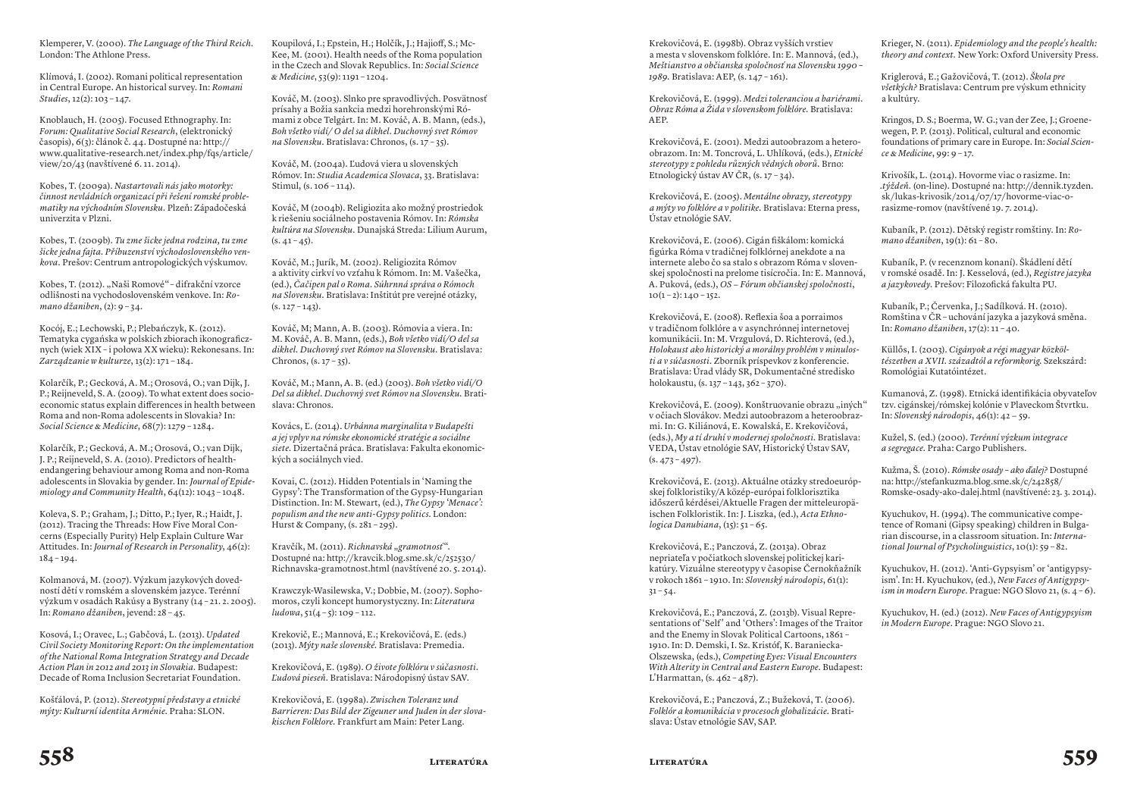Klemperer, V. (2000). *The Language of the Third Reich.*  London: The Athlone Press.

Klímová, I. (2002). Romani political representation in Central Europe. An historical survey. In: *Romani Studies*, 12(2): 103 – 147.

Knoblauch, H. (2005). Focused Ethnography. In: *Forum: Qualitative Social Research*, (elektronický časopis), 6(3): článok č. 44. Dostupné na: http:// www.qualitative-research.net/index.php/fqs/article/ view/20/43 (navštívené 6. 11. 2014).

Kobes, T. (2009a). *Nastartovali nás jako motorky: činnost nevládních organizací při řešení romské problematiky na východním Slovensku.* Plzeň: Západočeská univerzita v Plzni.

Kobes, T. (2009b). *Tu zme šicke jedna rodzina, tu zme šicke jedna fajta. Příbuzenství východoslovenského venkova.* Prešov: Centrum antropologických výskumov.

Kobes, T. (2012). "Naši Romové" - difrakční vzorce odlišnosti na vychodoslovenském venkove. In: *Romano džaniben*, (2): 9 – 34.

Kocój, E.; Lechowski, P.; Plebańczyk, K. (2012). Tematyka cygańska w polskich zbiorach ikonograficznych (wiek XIX – i połowa XX wieku): Rekonesans. In: *Zarządzanie w kulturze*, 13(2): 171 – 184.

Kolarčík, P.; Gecková, A. M.; Orosová, O.; van Dijk, J. P.; Reijneveld, S. A. (2009). To what extent does socioeconomic status explain differences in health between Roma and non-Roma adolescents in Slovakia? In: *Social Science & Medicine*, 68(7): 1279 – 1284.

Kolarčík, P.; Gecková, A. M.; Orosová, O.; van Dijk, J. P.; Reijneveld, S. A. (2010). Predictors of healthendangering behaviour among Roma and non-Roma adolescents in Slovakia by gender. In: *Journal of Epidemiology and Community Health*, 64(12): 1043 – 1048.

Koleva, S. P.; Graham, J.; Ditto, P.; Iyer, R.; Haidt, J. (2012). Tracing the Threads: How Five Moral Concerns (Especially Purity) Help Explain Culture War Attitudes. In: *Journal of Research in Personality*, 46(2): 184 – 194.

Kolmanová, M. (2007). Výzkum jazykových dovedností dětí v romském a slovenském jazyce. Terénní výzkum v osadách Rakúsy a Bystrany (14 – 21. 2. 2005). In: *Romano džaniben*, jevend: 28 – 45.

Kosová, I.; Oravec, L.; Gabčová, L. (2013). *Updated Civil Society Monitoring Report: On the implementation of the National Roma Integration Strategy and Decade Action Plan in 2012 and 2013 in Slovakia.* Budapest: Decade of Roma Inclusion Secretariat Foundation.

Košťálová, P. (2012). *Stereotypní představy a etnické mýty: Kulturní identita Arménie.* Praha: SLON.

Koupilová, I.; Epstein, H.; Holčík, J.; Hajioff, S.; Mc-Kee, M. (2001). Health needs of the Roma population in the Czech and Slovak Republics. In: *Social Science & Medicine*, 53(9): 1191 – 1204.

Kováč, M. (2003). Slnko pre spravodlivých. Posvätnosť prísahy a Božia sankcia medzi horehronskými Rómami z obce Telgárt. In: M. Kováč, A. B. Mann, (eds.), *Boh všetko vidí/ O del sa dikhel. Duchovný svet Rómov na Slovensku.* Bratislava: Chronos, (s. 17 – 35).

Kováč, M. (2004a). Ľudová viera u slovenských Rómov. In: *Studia Academica Slovaca*, 33. Bratislava: Stimul, (s. 106 – 114).

Kováč, M (2004b). Religiozita ako možný prostriedok k riešeniu sociálneho postavenia Rómov. In: *Rómska kultúra na Slovensku.* Dunajská Streda: Lilium Aurum,  $(s. 41 - 45)$ .

Kováč, M.; Jurík, M. (2002). Religiozita Rómov a aktivity cirkví vo vzťahu k Rómom. In: M. Vašečka, (ed.), *Čačipen pal o Roma. Súhrnná správa o Rómoch na Slovensku.* Bratislava: Inštitút pre verejné otázky,  $(s. 127 - 143)$ .

Kováč, M; Mann, A. B. (2003). Rómovia a viera. In: M. Kováč, A. B. Mann, (eds.), *Boh všetko vidí/O del sa dikhel. Duchovný svet Rómov na Slovensku.* Bratislava: Chronos,  $(s. 17 - 35)$ .

Kováč, M.; Mann, A. B. (ed.) (2003). *Boh všetko vidí/O Del sa dikhel. Duchovný svet Rómov na Slovensku.* Bratislava: Chronos.

Kovács, Ľ. (2014). *Urbánna marginalita v Budapešti a jej vplyv na rómske ekonomické stratégie a sociálne siete.* Dizertačná práca. Bratislava: Fakulta ekonomických a sociálnych vied.

Kovai, C. (2012). Hidden Potentials in 'Naming the Gypsy': The Transformation of the Gypsy-Hungarian Distinction. In: M. Stewart, (ed.), *The Gypsy 'Menace': populism and the new anti-Gypsy politics*. London: Hurst & Company, (s. 281 – 295).

Kravčík, M. (2011). *Richnavská "gramotnosť"*. Dostupné na: http://kravcik.blog.sme.sk/c/252530/ Richnavska-gramotnost.html (navštívené 20. 5. 2014).

Krawczyk-Wasilewska, V.; Dobbie, M. (2007). Sophomoros, czyli koncept humorystyczny. In: *Literatura*   $ludowa, 51(4-5): 109-112.$ 

Krekovič, E.; Mannová, E.; Krekovičová, E. (eds.) (2013). *Mýty naše slovenské.* Bratislava: Premedia.

Krekovičová, E. (1989). *O živote folklóru v súčasnosti. Ľudová pieseň.* Bratislava: Národopisný ústav SAV.

Krekovičová, E. (1998a). *Zwischen Toleranz und Barrieren: Das Bild der Zigeuner und Juden in der slovakischen Folklore.* Frankfurt am Main: Peter Lang.

Krekovičová, E. (1998b). Obraz vyšších vrstiev a mesta v slovenskom folklóre. In: E. Mannová, (ed.), *Meštianstvo a občianska spoločnosť na Slovensku 1990 – 1989.* Bratislava: AEP, (s. 147 – 161).

Krekovičová, E. (1999). *Medzi toleranciou a bariérami. Obraz Róma a Žida v slovenskom folklóre.* Bratislava: AEP.

Krekovičová, E. (2001). Medzi autoobrazom a heteroobrazom. In: M. Toncrová, L. Uhlíková, (eds.), *Etnické stereotypy z pohledu různých vědných oborů.* Brno: Etnologický ústav AV ČR, (s. 17 – 34).

Krekovičová, E. (2005). *Mentálne obrazy, stereotypy a mýty vo folklóre a v politike.* Bratislava: Eterna press, Ústav etnológie SAV.

Krekovičová, E. (2006). Cigán fiškálom: komická figúrka Róma v tradičnej folklórnej anekdote a na internete alebo čo sa stalo s obrazom Róma v slovenskej spoločnosti na prelome tisícročia. In: E. Mannová, A. Puková, (eds.), *OS − Fórum občianskej spoločnosti*,  $10(1 - 2)$ :  $140 - 152$ .

Krekovičová, E. (2008). Reflexia šoa a porraimos v tradičnom folklóre a v asynchrónnej internetovej komunikácii. In: M. Vrzgulová, D. Richterová, (ed.), *Holokaust ako historický a morálny problém v minulosti a v súčasnosti.* Zborník príspevkov z konferencie. Bratislava: Úrad vlády SR, Dokumentačné stredisko holokaustu, (s. 137 – 143, 362 – 370).

Krekovičová, E. (2009). Konštruovanie obrazu "iných" v očiach Slovákov. Medzi autoobrazom a heteroobrazmi. In: G. Kiliánová, E. Kowalská, E. Krekovičová, (eds.), *My a tí druhí v modernej spoločnosti.* Bratislava: VEDA, Ústav etnológie SAV, Historický Ústav SAV,  $(s. 473 - 497)$ .

Krekovičová, E. (2013). Aktuálne otázky stredoeurópskej folkloristiky/A közép-európai folklorisztika időszerű kérdései/Aktuelle Fragen der mitteleuropäischen Folkloristik. In: J. Liszka, (ed.), *Acta Ethnologica Danubiana*, (15): 51 – 65.

Krekovičová, E.; Panczová, Z. (2013a). Obraz nepriateľa v počiatkoch slovenskej politickej karikatúry. Vizuálne stereotypy v časopise Černokňažník v rokoch 1861 – 1910. In: *Slovenský národopis*, 61(1):  $31 - 54.$ 

Krekovičová, E.; Panczová, Z. (2013b). Visual Representations of 'Self' and 'Others': Images of the Traitor and the Enemy in Slovak Political Cartoons, 1861 – 1910. In: D. Demski, I. Sz. Kristóf, K. Baraniecka-Olszewska, (eds.), *Competing Eyes: Visual Encounters With Alterity in Central and Eastern Europe.* Budapest: L'Harmattan, (s. 462 – 487).

Krekovičová, E.; Panczová, Z.; Bužeková, T. (2006). *Folklór a komunikácia v procesoch globalizácie.* Bratislava: Ústav etnológie SAV, SAP.

Krieger, N. (2011). *Epidemiology and the people's health: theory and context.* New York: Oxford University Press.

Kriglerová, E.; Gažovičová, T. (2012). *Škola pre všetkých?* Bratislava: Centrum pre výskum ethnicity a kultúry.

Kringos, D. S.; Boerma, W. G.; van der Zee, J.; Groenewegen, P. P. (2013). Political, cultural and economic foundations of primary care in Europe. In: *Social Science & Medicine*, 99: 9 – 17.

Krivošík, L. (2014). Hovorme viac o rasizme. In: *.týždeň.* (on-line). Dostupné na: http://dennik.tyzden. sk/lukas-krivosik/2014/07/17/hovorme-viac-orasizme-romov (navštívené 19. 7. 2014).

Kubaník, P. (2012). Dětský registr romštiny. In: *Romano džaniben*, 19(1): 61 – 80.

Kubaník, P. (v recenznom konaní). Škádlení dětí v romské osadě. In: J. Kesselová, (ed.), *Registre jazyka a jazykovedy.* Prešov: Filozofická fakulta PU.

Kubaník, P.; Červenka, J.; Sadílková. H. (2010). Romština v ČR – uchování jazyka a jazyková směna. In: *Romano džaniben*, 17(2): 11 – 40.

Küllős, I. (2003). *Cigányok a régi magyar közköltészetben a XVII. századtól a reformkorig.* Szekszárd: Romológiai Kutatóintézet.

Kumanová, Z. (1998). Etnická identifikácia obyvateľov tzv. cigánskej/rómskej kolónie v Plaveckom Štvrtku. In: *Slovenský národopis*, 46(1): 42 − 59.

Kužel, S. (ed.) (2000). *Terénní výzkum integrace a segregace.* Praha: Cargo Publishers.

Kužma, Š. (2010). *Rómske osady – ako ďalej?* Dostupné na: http://stefankuzma.blog.sme.sk/c/242858/ Romske-osady-ako-dalej.html (navštívené: 23. 3. 2014).

Kyuchukov, H. (1994). The communicative competence of Romani (Gipsy speaking) children in Bulgarian discourse, in a classroom situation. In: *International Journal of Psycholinguistics*, 10(1): 59 – 82.

Kyuchukov, H. (2012). 'Anti-Gypsyism' or 'antigypsyism'. In: H. Kyuchukov, (ed.), *New Faces of Antigypsyism in modern Europe*. Prague: NGO Slovo 21, (s. 4 – 6).

Kyuchukov, H. (ed.) (2012). *New Faces of Antigypsyism in Modern Europe*. Prague: NGO Slovo 21.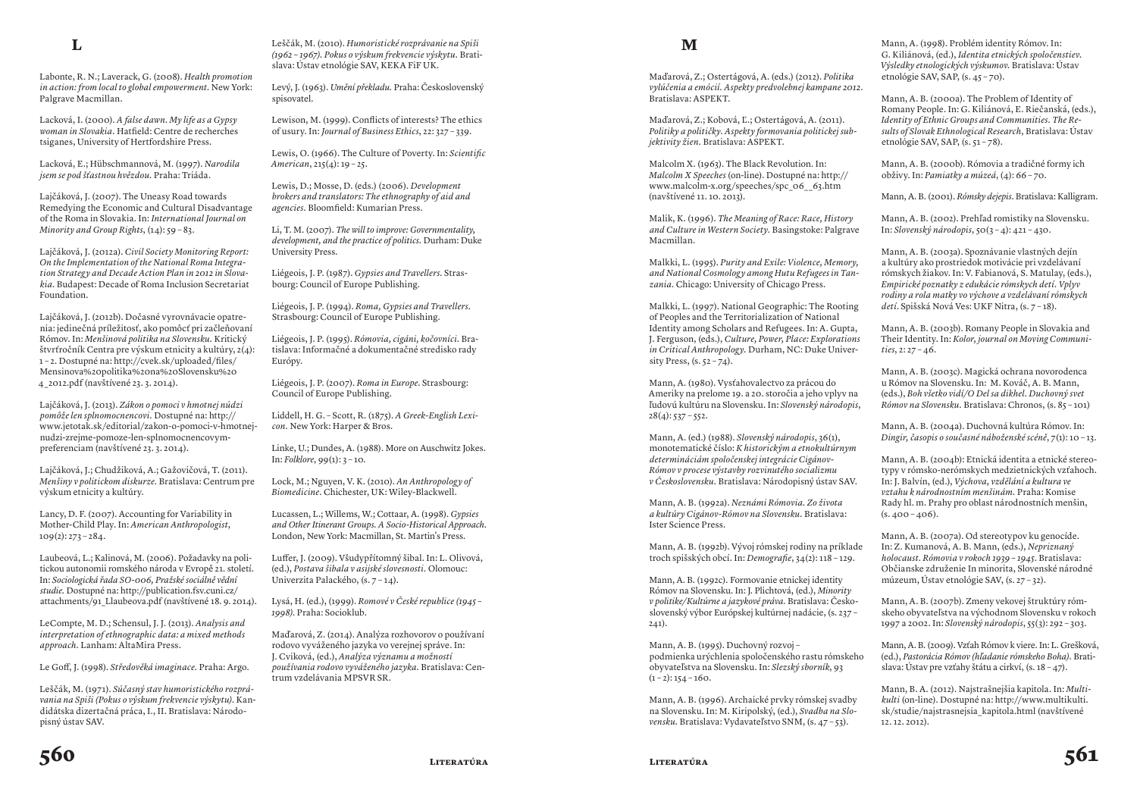Labonte, R. N.; Laverack, G. (2008). *Health promotion in action: from local to global empowerment.* New York: Palgrave Macmillan.

Lacková, I. (2000). *A false dawn. My life as a Gypsy woman in Slovakia.* Hatfield: Centre de recherches tsiganes, University of Hertfordshire Press.

Lacková, E.; Hübschmannová, M. (1997). *Narodila jsem se pod šťastnou hvězdou.* Praha: Triáda.

Lajčáková, J. (2007). The Uneasy Road towards Remedying the Economic and Cultural Disadvantage of the Roma in Slovakia. In: *International Journal on Minority and Group Rights*, (14): 59 – 83.

Lajčáková, J. (2012a). *Civil Society Monitoring Report: On the Implementation of the National Roma Integration Strategy and Decade Action Plan in 2012 in Slovakia.* Budapest: Decade of Roma Inclusion Secretariat Foundation.

Lajčáková, J. (2012b). Dočasné vyrovnávacie opatrenia: jedinečná príležitosť, ako pomôcť pri začleňovaní Rómov. In: *Menšinová politika na Slovensku.* Kritický štvrťročník Centra pre výskum etnicity a kultúry, 2(4): 1 – 2. Dostupné na: http://cvek.sk/uploaded/files/ Mensinova%20politika%20na%20Slovensku%20 4\_2012.pdf (navštívené 23. 3. 2014).

Lajčáková, J. (2013). *Zákon o pomoci v hmotnej núdzi pomôže len splnomocnencovi.* Dostupné na: http:// www.jetotak.sk/editorial/zakon-o-pomoci-v-hmotnejnudzi-zrejme-pomoze-len-splnomocnencovympreferenciam (navštívené 23. 3. 2014).

Lajčáková, J.; Chudžiková, A.; Gažovičová, T. (2011). *Menšiny v politickom diskurze.* Bratislava: Centrum pre výskum etnicity a kultúry.

Lancy, D. F. (2007). Accounting for Variability in Mother-Child Play. In: *American Anthropologist*, 109(2): 273 – 284.

Laubeová, L.; Kalinová, M. (2006). Požadavky na politickou autonomii romského národa v Evropě 21. století. In: *Sociologická řada SO-006, Pražské sociálně vědní studie.* Dostupné na: http://publication.fsv.cuni.cz/ attachments/91\_Llaubeova.pdf (navštívené 18. 9. 2014).

LeCompte, M. D.; Schensul, J. J. (2013). *Analysis and interpretation of ethnographic data: a mixed methods approach.* Lanham: AltaMira Press.

Le Goff, J. (1998). *Středověká imaginace.* Praha: Argo.

Leščák, M. (1971). *Súčasný stav humoristického rozprávania na Spiši (Pokus o výskum frekvencie výskytu).* Kandidátska dizertačná práca, I., II. Bratislava: Národopisný ústav SAV.

Leščák, M. (2010). *Humoristické rozprávanie na Spiši (1962 – 1967). Pokus o výskum frekvencie výskytu.* Bratislava: Ústav etnológie SAV, KEKA FiF UK.

Levý, J. (1963). *Umění překladu.* Praha: Československý spisovatel.

Lewison, M. (1999). Conflicts of interests? The ethics of usury. In: *Journal of Business Ethics*, 22: 327 – 339.

Lewis, O. (1966). The Culture of Poverty. In: *Scientific American*, 215(4): 19 – 25.

Lewis, D.; Mosse, D. (eds.) (2006). *Development brokers and translators: The ethnography of aid and agencies.* Bloomfield: Kumarian Press.

Li, T. M. (2007). *The will to improve: Governmentality, development, and the practice of politics.* Durham: Duke University Press.

Liégeois, J. P. (1987). *Gypsies and Travellers.* Strasbourg: Council of Europe Publishing.

Liégeois, J. P. (1994). *Roma, Gypsies and Travellers.* Strasbourg: Council of Europe Publishing.

Liégeois, J. P. (1995). *Rómovia, cigáni, kočovníci.* Bratislava: Informačné a dokumentačné stredisko rady Európy.

Liégeois, J. P. (2007). *Roma in Europe.* Strasbourg: Council of Europe Publishing.

Liddell, H. G. – Scott, R. (1875). *A Greek-English Lexicon.* New York: Harper & Bros.

Linke, U.; Dundes, A. (1988). More on Auschwitz Jokes. In: *Folklore*, 99(1): 3 – 10.

Lock, M.; Nguyen, V. K. (2010). *An Anthropology of Biomedicine.* Chichester, UK: Wiley-Blackwell.

Lucassen, L.; Willems, W.; Cottaar, A. (1998). *Gypsies and Other Itinerant Groups. A Socio-Historical Approach.* London, New York: Macmillan, St. Martin's Press.

Luffer, J. (2009). Všudypřítomný šibal. In: L. Olivová, (ed.), *Postava šibala v asijské slovesnosti.* Olomouc: Univerzita Palackého, (s. 7 – 14).

Lysá, H. (ed.), (1999). *Romové v České republice (1945 – 1998)*. Praha: Socioklub.

Maďarová, Z. (2014). Analýza rozhovorov o používaní rodovo vyváženého jazyka vo verejnej správe. In: J. Cviková, (ed.), *Analýza významu a možností používania rodovo vyváženého jazyka.* Bratislava: Centrum vzdelávania MPSVR SR.

#### **M**

Maďarová, Z.; Ostertágová, A. (eds.) (2012). *Politika vylúčenia a emócií. Aspekty predvolebnej kampane 2012.* Bratislava: ASPEKT.

Maďarová, Z.; Kobová, Ľ.; Ostertágová, A. (2011). *Politiky a političky. Aspekty formovania politickej subjektivity žien.* Bratislava: ASPEKT.

Malcolm X. (1963). The Black Revolution. In: *Malcolm X Speeches* (on-line). Dostupné na: http:// www.malcolm-x.org/speeches/spc\_06\_\_63.htm (navštívené 11. 10. 2013).

Malik, K. (1996). *The Meaning of Race: Race, History and Culture in Western Society.* Basingstoke: Palgrave Macmillan.

Malkki, L. (1995). *Purity and Exile: Violence, Memory, and National Cosmology among Hutu Refugees in Tanzania.* Chicago: University of Chicago Press.

Malkki, L. (1997). National Geographic: The Rooting of Peoples and the Territorialization of National Identity among Scholars and Refugees. In: A. Gupta, J. Ferguson, (eds.), *Culture, Power, Place: Explorations in Critical Anthropology.* Durham, NC: Duke University Press,  $(s, 52 - 74)$ .

Mann, A. (1980). Vysťahovalectvo za prácou do Ameriky na prelome 19. a 20. storočia a jeho vplyv na ľudovú kultúru na Slovensku. In: *Slovenský národopis*,  $28(4): 537 - 552.$ 

Mann, A. (ed.) (1988). *Slovenský národopis*, 36(1), monotematické číslo: *K historickým a etnokultúrnym determináciám spoločenskej integrácie Cigánov-Rómov v procese výstavby rozvinutého socializmu v Československu.* Bratislava: Národopisný ústav SAV.

Mann, A. B. (1992a). *Neznámi Rómovia. Zo života a kultúry Cigánov-Rómov na Slovensku.* Bratislava: Ister Science Press.

Mann, A. B. (1992b). Vývoj rómskej rodiny na príklade troch spišských obcí. In: *Demografie*, 34(2): 118 – 129.

Mann, A. B. (1992c). Formovanie etnickej identity Rómov na Slovensku. In: J. Plichtová, (ed.), *Minority v politike/Kultúrne a jazykové práva.* Bratislava: Československý výbor Európskej kultúrnej nadácie, (s. 237 –  $241$ ).

Mann, A. B. (1995). Duchovný rozvoj – podmienka urýchlenia spoločenského rastu rómskeho obyvateľstva na Slovensku. In: *Slezský sborník*, 93  $(1 - 2)$ : 154 – 160.

Mann, A. B. (1996). Archaické prvky rómskej svadby na Slovensku. In: M. Kiripolský, (ed.), *Svadba na Slovensku.* Bratislava: Vydavateľstvo SNM, (s. 47 – 53).

Mann, A. (1998). Problém identity Rómov. In: G. Kiliánová, (ed.), *Identita etnických spoločenstiev. Výsledky etnologických výskumov.* Bratislava: Ústav etnológie SAV, SAP, (s. 45 – 70).

Mann, A. B. (2000a). The Problem of Identity of Romany People. In: G. Kiliánová, E. Riečanská, (eds.), *Identity of Ethnic Groups and Communities. The Results of Slovak Ethnological Research*, Bratislava: Ústav etnológie SAV, SAP,  $(s, 51 - 78)$ .

Mann, A. B. (2000b). Rómovia a tradičné formy ich obživy. In: *Pamiatky a múzeá*, (4): 66 – 70.

Mann, A. B. (2001). *Rómsky dejepis*. Bratislava: Kalligram.

Mann, A. B. (2002). Prehľad romistiky na Slovensku. In: *Slovenský národopis*, 50(3 – 4): 421 – 430.

Mann, A. B. (2003a). Spoznávanie vlastných dejín a kultúry ako prostriedok motivácie pri vzdelávaní rómskych žiakov. In: V. Fabianová, S. Matulay, (eds.), *Empirické poznatky z edukácie rómskych detí. Vplyv rodiny a rola matky vo výchove a vzdelávaní rómskych detí*. Spišská Nová Ves: UKF Nitra, (s. 7 – 18).

Mann, A. B. (2003b). Romany People in Slovakia and Their Identity. In: *Kolor, journal on Moving Communities*, 2: 27 – 46.

Mann, A. B. (2003c). Magická ochrana novorodenca u Rómov na Slovensku. In: M. Kováč, A. B. Mann, (eds.), *Boh všetko vidí/O Del sa dikhel. Duchovný svet Rómov na Slovensku.* Bratislava: Chronos, (s. 85 – 101)

Mann, A. B. (2004a). Duchovná kultúra Rómov. In: *Dingir, časopis o současné náboženské scéně*, 7(1): 10 – 13.

Mann, A. B. (2004b): Etnická identita a etnické stereotypy v rómsko-nerómskych medzietnických vzťahoch. In: J. Balvín, (ed.), *Výchova, vzdělání a kultura ve vztahu k národnostním menšinám.* Praha: Komise Rady hl. m. Prahy pro oblast národnostních menšin,  $(s. 400 - 406)$ .

Mann, A. B. (2007a). Od stereotypov ku genocíde. In: Z. Kumanová, A. B. Mann, (eds.), *Nepriznaný holocaust. Rómovia v rokoch 1939 – 1945*. Bratislava: Občianske združenie In minorita, Slovenské národné múzeum, Ústav etnológie SAV, (s. 27 – 32).

Mann, A. B. (2007b). Zmeny vekovej štruktúry rómskeho obyvateľstva na východnom Slovensku v rokoch 1997 a 2002. In: *Slovenský národopis*, 55(3): 292 – 303.

Mann, A. B. (2009). Vzťah Rómov k viere. In: L. Grešková, (ed.), *Pastorácia Rómov (hľadanie rómskeho Boha).* Bratislava: Ústav pre vzťahy štátu a cirkví,  $(s. 18 - 47)$ .

Mann, B. A. (2012). Najstrašnejšia kapitola. In: *Multikulti* (on-line). Dostupné na: http://www.multikulti. sk/studie/najstrasnejsia\_kapitola.html (navštívené 12. 12. 2012).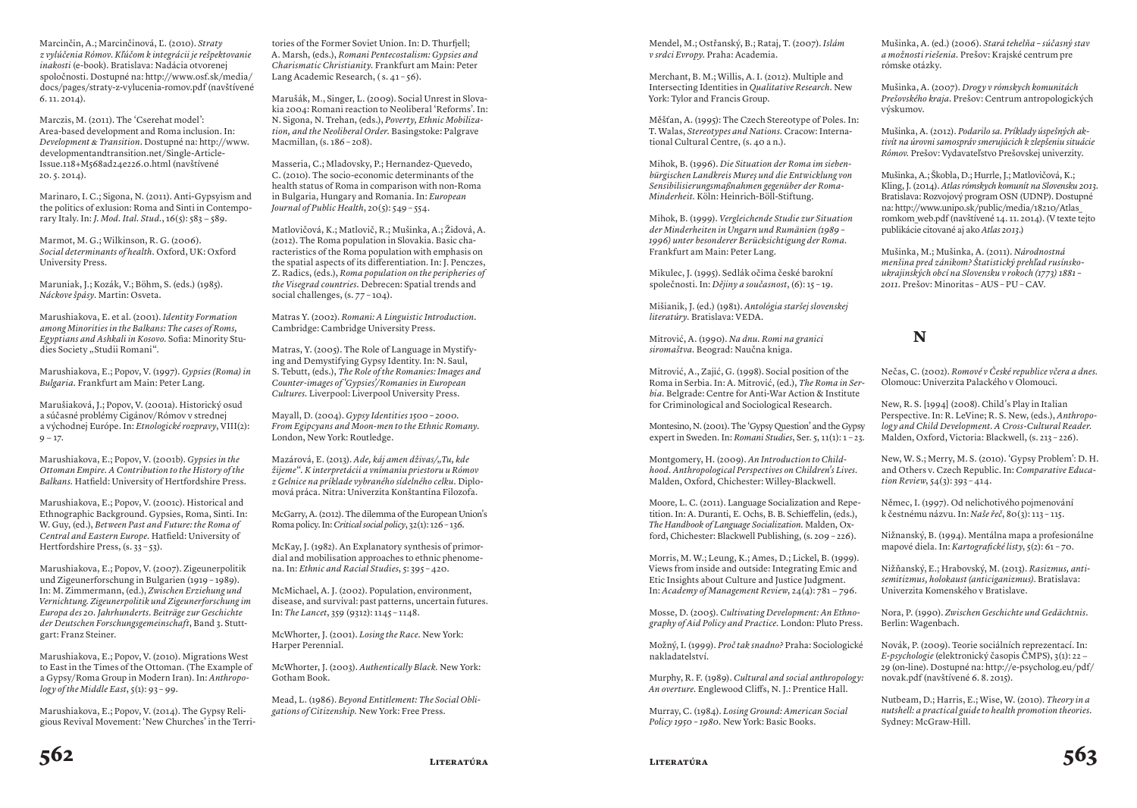Marcinčin, A.; Marcinčinová, Ľ. (2010). *Straty z vylúčenia Rómov. Kľúčom k integrácii je rešpektovanie inakosti* (e-book). Bratislava: Nadácia otvorenej spoločnosti. Dostupné na: http://www.osf.sk/media/ docs/pages/straty-z-vylucenia-romov.pdf (navštívené 6. 11. 2014).

Marczis, M. (2011). The 'Cserehat model': Area-based development and Roma inclusion. In: *Development & Transition*. Dostupné na: http://www. developmentandtransition.net/Single-Article-Issue.118+M568ad24e226.0.html (navštívené 20. 5. 2014).

Marinaro, I. C.; Sigona, N. (2011). Anti-Gypsyism and the politics of exlusion: Roma and Sinti in Contemporary Italy. In: *J. Mod. Ital. Stud.*, 16(5): 583 − 589.

Marmot, M. G.; Wilkinson, R. G. (2006). *Social determinants of health.* Oxford, UK: Oxford University Press.

Maruniak, J.; Kozák, V.; Böhm, S. (eds.) (1985). *Náckove špásy*. Martin: Osveta.

Marushiakova, E. et al. (2001). *Identity Formation among Minorities in the Balkans: The cases of Roms, Egyptians and Ashkali in Kosovo.* Sofia: Minority Studies Society "Studii Romani".

Marushiakova, E.; Popov, V. (1997). *Gypsies (Roma) in Bulgaria.* Frankfurt am Main: Peter Lang.

Marušiaková, J.; Popov, V. (2001a). Historický osud a súčasné problémy Cigánov/Rómov v strednej a východnej Európe. In: *Etnologické rozpravy*, VIII(2):  $9 - 17.$ 

Marushiakova, E.; Popov, V. (2001b). *Gypsies in the Ottoman Empire. A Contribution to the History of the Balkans.* Hatfield: University of Hertfordshire Press.

Marushiakova, E.; Popov, V. (2001c). Historical and Ethnographic Background. Gypsies, Roma, Sinti. In: W. Guy, (ed.), *Between Past and Future: the Roma of Central and Eastern Europe.* Hatfield: University of Hertfordshire Press,  $(s, 33 - 53)$ .

Marushiakova, E.; Popov, V. (2007). Zigeunerpolitik und Zigeunerforschung in Bulgarien (1919 – 1989). In: M. Zimmermann, (ed.), *Zwischen Erziehung und Vernichtung. Zigeunerpolitik und Zigeunerforschung im Europa des 20. Jahrhunderts. Beiträge zur Geschichte der Deutschen Forschungsgemeinschaft*, Band 3. Stuttgart: Franz Steiner.

Marushiakova, E.; Popov, V. (2010). Migrations West to East in the Times of the Ottoman. (The Example of a Gypsy/Roma Group in Modern Iran). In: *Anthropology of the Middle East*, 5(1): 93 – 99.

Marushiakova, E.; Popov, V. (2014). The Gypsy Religious Revival Movement: 'New Churches' in the Terri-

tories of the Former Soviet Union. In: D. Thurfjell; A. Marsh, (eds.), *Romani Pentecostalism: Gypsies and Charismatic Christianity.* Frankfurt am Main: Peter Lang Academic Research, (s. 41 – 56).

Marušák, M., Singer, L. (2009). Social Unrest in Slovakia 2004: Romani reaction to Neoliberal 'Reforms'. In: N. Sigona, N. Trehan, (eds.), *Poverty, Ethnic Mobilization, and the Neoliberal Order.* Basingstoke: Palgrave Macmillan, (s. 186 – 208).

Masseria, C.; Mladovsky, P.; Hernandez-Quevedo, C. (2010). The socio-economic determinants of the health status of Roma in comparison with non-Roma in Bulgaria, Hungary and Romania. In: *European Journal of Public Health*, 20(5): 549 – 554.

Matlovičová, K.; Matlovič, R.; Mušinka, A.; Židová, A. (2012). The Roma population in Slovakia. Basic characteristics of the Roma population with emphasis on the spatial aspects of its differentiation. In: J. Penczes, Z. Radics, (eds.), *Roma population on the peripheries of the Visegrad countries.* Debrecen: Spatial trends and social challenges, (s. 77 - 104).

Matras Y. (2002). *Romani: A Linguistic Introduction.* Cambridge: Cambridge University Press.

Matras, Y. (2005). The Role of Language in Mystifying and Demystifying Gypsy Identity. In: N. Saul, S. Tebutt, (eds.), *The Role of the Romanies: Images and Counter-images of 'Gypsies'/Romanies in European Cultures.* Liverpool: Liverpool University Press.

Mayall, D. (2004). *Gypsy Identities 1500 – 2000. From Egipcyans and Moon-men to the Ethnic Romany.* London, New York: Routledge.

Mazárová, E. (2013). Ade, káj amen dživas/"Tu, kde *žijeme". K interpretácii a vnímaniu priestoru u Rómov z Gelnice na príklade vybraného sídelného celku.* Diplomová práca. Nitra: Univerzita Konštantína Filozofa.

McGarry, A. (2012). The dilemma of the European Union's Roma policy. In: *Critical social policy*, 32(1): 126 – 136.

McKay, J. (1982). An Explanatory synthesis of primordial and mobilisation approaches to ethnic phenomena. In: *Ethnic and Racial Studies*, 5: 395 – 420.

McMichael, A. J. (2002). Population, environment, disease, and survival: past patterns, uncertain futures. In: *The Lancet*, 359 (9312): 1145 – 1148.

McWhorter, J. (2001). *Losing the Race*. New York: Harper Perennial.

McWhorter, J. (2003). *Authentically Black.* New York: Gotham Book.

Mead, L. (1986). *Beyond Entitlement: The Social Obligations of Citizenship.* New York: Free Press.

Mendel, M.; Ostřanský, B.; Rataj, T. (2007). *Islám v srdci Evropy.* Praha: Academia.

Merchant, B. M.; Willis, A. I. (2012). Multiple and Intersecting Identities in *Qualitative Research*. New York: Tylor and Francis Group.

Měšťan, A. (1995): The Czech Stereotype of Poles. In: T. Walas, *Stereotypes and Nations.* Cracow: International Cultural Centre, (s. 40 a n.).

Mihok, B. (1996). *Die Situation der Roma im siebenbürgischen Landkreis Mureş und die Entwicklung von Sensibilisierungsmaßnahmen gegenüber der Roma-Minderheit.* Köln: Heinrich-Böll-Stiftung.

Mihok, B. (1999). *Vergleichende Studie zur Situation der Minderheiten in Ungarn und Rumänien (1989 – 1996) unter besonderer Berücksichtigung der Roma.*  Frankfurt am Main: Peter Lang.

Mikulec, J. (1995). Sedlák očima české barokní společnosti. In: *Dějiny a současnost*, (6): 15 – 19.

Mišianik, J. (ed.) (1981). *Antológia staršej slovenskej literatúry.* Bratislava: VEDA.

Mitrović, A. (1990). *Na dnu. Romi na granici siromaštva.* Beograd: Naučna kniga.

Mitrović, A., Zajić, G. (1998). Social position of the Roma in Serbia. In: A. Mitrović, (ed.), *The Roma in Serbia.* Belgrade: Centre for Anti-War Action & Institute for Criminological and Sociological Research.

Montesino, N. (2001). The 'Gypsy Question' and the Gypsy expert in Sweden. In: *Romani Studies*, Ser. 5, 11(1): 1 – 23.

Montgomery, H. (2009). *An Introduction to Childhood. Anthropological Perspectives on Children's Lives.* Malden, Oxford, Chichester: Willey-Blackwell.

Moore, L. C. (2011). Language Socialization and Repetition. In: A. Duranti, E. Ochs, B. B. Schieffelin, (eds.), *The Handbook of Language Socialization.* Malden, Oxford, Chichester: Blackwell Publishing, (s. 209 – 226).

Morris, M. W.; Leung, K.; Ames, D.; Lickel, B. (1999). Views from inside and outside: Integrating Emic and Etic Insights about Culture and Justice Judgment. In: *Academy of Management Review*, 24(4): 781 − 796.

Mosse, D. (2005). *Cultivating Development: An Ethnography of Aid Policy and Practice.* London: Pluto Press.

Možný, I. (1999). *Proč tak snadno?* Praha: Sociologické nakladatelství.

Murphy, R. F. (1989). *Cultural and social anthropology: An overture.* Englewood Cliffs, N. J.: Prentice Hall.

Murray, C. (1984). *Losing Ground: American Social Policy 1950 – 1980.* New York: Basic Books.

Mušinka, A. (ed.) (2006). *Stará tehelňa – súčasný stav a možnosti riešenia.* Prešov: Krajské centrum pre rómske otázky.

Mušinka, A. (2007). *Drogy v rómskych komunitách Prešovského kraja*. Prešov: Centrum antropologických výskumov.

Mušinka, A. (2012). *Podarilo sa. Príklady úspešných aktivít na úrovni samospráv smerujúcich k zlepšeniu situácie Rómov.* Prešov: Vydavateľstvo Prešovskej univerzity.

Mušinka, A.; Škobla, D.; Hurrle, J.; Matlovičová, K.; Kling, J. (2014). *Atlas rómskych komunít na Slovensku 2013*. Bratislava: Rozvojový program OSN (UDNP). Dostupné na: http://www.unipo.sk/public/media/18210/Atlas\_ romkom\_web.pdf (navštívené 14. 11. 2014). (V texte tejto publikácie citované aj ako *Atlas 2013*.)

Mušinka, M.; Mušinka, A. (2011). *Národnostná menšina pred zánikom? Štatistický prehľad rusínskoukrajinských obcí na Slovensku v rokoch (1773) 1881 – 2011.* Prešov: Minoritas – AUS – PU – CAV.

## **N**

Nečas, C. (2002). *Romové v České republice včera a dnes.* Olomouc: Univerzita Palackého v Olomouci.

New, R. S. [1994] (2008). Child's Play in Italian Perspective. In: R. LeVine; R. S. New, (eds.), *Anthropology and Child Development. A Cross-Cultural Reader.*  Malden, Oxford, Victoria: Blackwell, (s. 213 – 226).

New, W. S.; Merry, M. S. (2010). 'Gypsy Problem': D. H. and Others v. Czech Republic. In: *Comparative Education Review*, 54(3): 393 – 414.

Němec, I. (1997). Od nelichotivého pojmenování k čestnému názvu. In: *Naše řeč*, 80(3): 113 – 115.

Nižnanský, B. (1994). Mentálna mapa a profesionálne mapové diela. In: *Kartografické listy*, 5(2): 61 – 70.

Nižňanský, E.; Hrabovský, M. (2013). *Rasizmus, antisemitizmus, holokaust (anticiganizmus)*. Bratislava: Univerzita Komenského v Bratislave.

Nora, P. (1990). *Zwischen Geschichte und Gedächtnis*. Berlin: Wagenbach.

Novák, P. (2009). Teorie sociálních reprezentací. In: *E-psychologie* (elektronický časopis ČMPS), 3(1): 22 − 29 (on-line). Dostupné na: http://e-psycholog.eu/pdf/ novak.pdf (navštívené 6. 8. 2015).

Nutbeam, D.; Harris, E.; Wise, W. (2010). *Theory in a nutshell: a practical guide to health promotion theories.* Sydney: McGraw-Hill.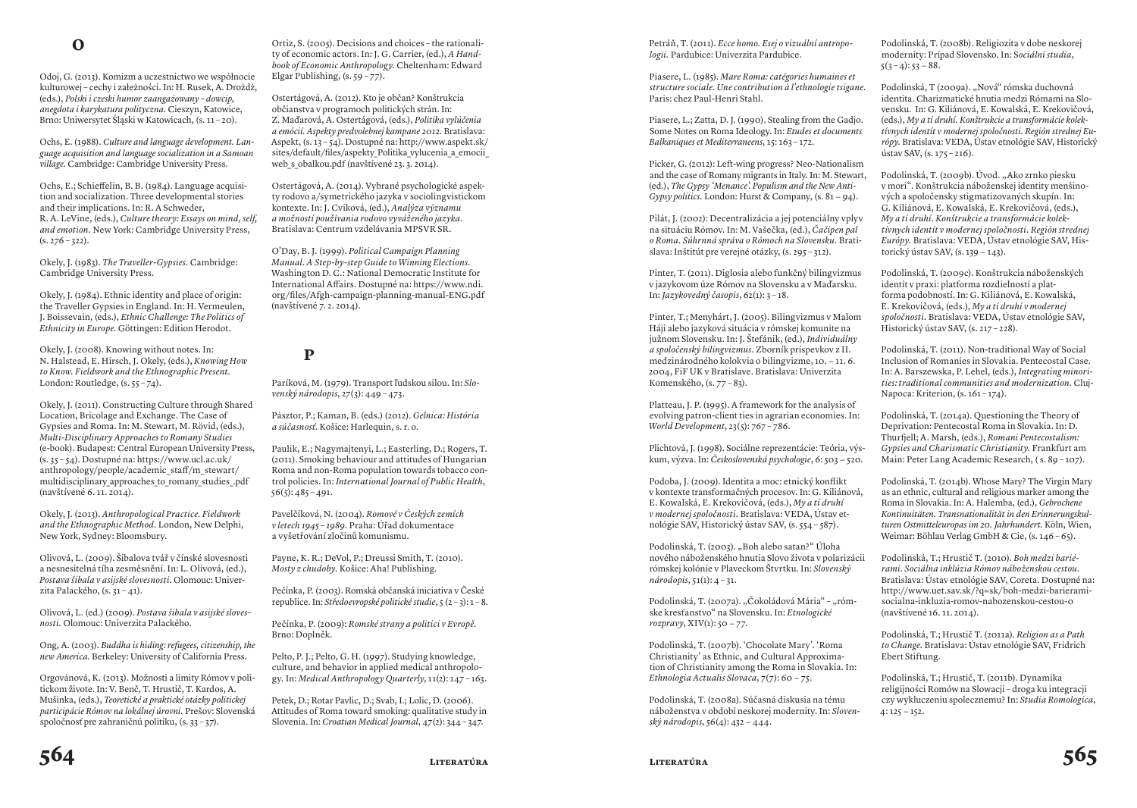Odoj, G. (2013). Komizm a uczestnictwo we współnocie kulturowej – cechy i załeżności. In: H. Rusek, A. Drożdż, (eds.), *Polski i czeski humor zaangażowany – dowcip, anegdota i karykatura polityczna.* Cieszyn, Katowice, Brno: Uniwersytet Śląski w Katowicach, (s. 11 – 20).

Ochs, E. (1988). *Culture and language development. Language acquisition and language socialization in a Samoan village.* Cambridge: Cambridge University Press.

Ochs, E.; Schieffelin, B. B. (1984). Language acquisition and socialization. Three developmental stories and their implications. In: R. A Schweder, R. A. LeVine, (eds.), *Culture theory: Essays on mind, self, and emotion.* New York: Cambridge University Press,  $(s. 276 - 322)$ .

Okely, J. (1983). *The Traveller-Gypsies.* Cambridge: Cambridge University Press.

Okely, J. (1984). Ethnic identity and place of origin: the Traveller Gypsies in England. In: H. Vermeulen, J. Boissevain, (eds.), *Ethnic Challenge: The Politics of Ethnicity in Europe.* Göttingen: Edition Herodot.

Okely, J. (2008). Knowing without notes. In: N. Halstead, E. Hirsch, J. Okely, (eds.), *Knowing How to Know. Fieldwork and the Ethnographic Present.* London: Routledge, (s. 55 – 74).

Okely, J. (2011). Constructing Culture through Shared Location, Bricolage and Exchange. The Case of Gypsies and Roma. In: M. Stewart, M. Rövid, (eds.), *Multi-Disciplinary Approaches to Romany Studies* (e-book). Budapest: Central European University Press, (s. 35 – 54). Dostupné na: https://www.ucl.ac.uk/ anthropology/people/academic\_staff/m\_stewart/ multidisciplinary approaches to romany studies .pdf (navštívené 6. 11. 2014).

Okely, J. (2013). *Anthropological Practice. Fieldwork and the Ethnographic Method.* London, New Delphi, New York, Sydney: Bloomsbury.

Olivová, L. (2009). Šibalova tvář v čínské slovesnosti a nesnesitelná tíha zesměsnění. In: L. Olivová, (ed.), *Postava šibala v asijské slovesnosti*. Olomouc: Univerzita Palackého,  $(s, 31 - 41)$ .

Olivová, L. (ed.) (2009). *Postava šibala v asijské sloves– nosti.* Olomouc: Univerzita Palackého.

Ong, A. (2003). *Buddha is hiding: refugees, citizenship, the new America.* Berkeley: University of California Press.

Orgovánová, K. (2013). Možnosti a limity Rómov v politickom živote. In: V. Benč, T. Hrustič, T. Kardos, A. Mušinka, (eds.), *Teoretické a praktické otázky politickej participácie Rómov na lokálnej úrovni.* Prešov: Slovenská spoločnosť pre zahraničnú politiku, (s. 33 – 37).

Ortiz, S. (2005). Decisions and choices – the rationality of economic actors. In: J. G. Carrier, (ed.), *A Handbook of Economic Anthropology.* Cheltenham: Edward Elgar Publishing,  $(s. 59 - 77)$ .

Ostertágová, A. (2012). Kto je občan? Konštrukcia občianstva v programoch politických strán. In: Z. Maďarová, A. Ostertágová, (eds.), *Politika vylúčenia a emócií. Aspekty predvolebnej kampane 2012.* Bratislava: Aspekt, (s. 13 – 54). Dostupné na: http://www.aspekt.sk/ sites/default/files/aspekty Politika vylucenia a emocii web s obalkou.pdf (navštívené 23. 3. 2014).

Ostertágová, A. (2014). Vybrané psychologické aspekty rodovo a/symetrického jazyka v sociolingvistickom kontexte. In: J. Cviková, (ed.), *Analýza významu a možností používania rodovo vyváženého jazyka.* Bratislava: Centrum vzdelávania MPSVR SR.

O'Day, B. J. (1999). *Political Campaign Planning Manual. A Step-by-step Guide to Winning Elections.* Washington D. C.: National Democratic Institute for International Affairs. Dostupné na: https://www.ndi. org/files/Afgh-campaign-planning-manual-ENG.pdf (navštívené 7. 2. 2014).

### **P**

Paríková, M. (1979). Transport ľudskou silou. In: *Slovenský národopis*, 27(3): 449 – 473.

Pásztor, P.; Kaman, B. (eds.) (2012). *Gelnica: História a súčasnosť.* Košice: Harlequin, s. r. o.

Paulik, E.; Nagymajtenyi, L.; Easterling, D.; Rogers, T. (2011). Smoking behaviour and attitudes of Hungarian Roma and non-Roma population towards tobacco control policies. In: *International Journal of Public Health*,  $56(5): 485 - 491.$ 

Pavelčíková, N. (2004). *Romové v Českých zemích v letech 1945 – 1989.* Praha: Úřad dokumentace a vyšetřování zločinů komunismu.

Payne, K. R.; DeVol, P.; Dreussi Smith, T. (2010). *Mosty z chudoby.* Košice: Aha! Publishing.

Pečínka, P. (2003). Romská občanská iniciativa v České republice. In: *Středoevropské politické studie*, 5 (2 – 3): 1 – 8.

Pečínka, P. (2009): *Romské strany a politici v Evropě*. Brno: Doplněk.

Pelto, P. J.; Pelto, G. H. (1997). Studying knowledge, culture, and behavior in applied medical anthropology. In: *Medical Anthropology Quarterly*, 11(2): 147 – 163.

Petek, D.; Rotar Pavlic, D.; Svab, I.; Lolic, D. (2006). Attitudes of Roma toward smoking: qualitative study in Slovenia. In: *Croatian Medical Journal*, 47(2): 344 – 347.

Petráň, T. (2011). *Ecce homo. Esej o vizuální antropologii.* Pardubice: Univerzita Pardubice.

Piasere, L. (1985). *Mare Roma: catégories humaines et structure sociale. Une contribution à l'ethnologie tsigane.* Paris: chez Paul-Henri Stahl.

Piasere, L.; Zatta, D. J. (1990). Stealing from the Gadjo. Some Notes on Roma Ideology. In: *Etudes et documents Balkaniques et Mediterraneens*, 15: 163 – 172.

Picker, G. (2012): Left-wing progress? Neo-Nationalism and the case of Romany migrants in Italy. In: M. Stewart, (ed.), *The Gypsy 'Menance'. Populism and the New Anti-Gypsy politics.* London: Hurst & Company, (s. 81 − 94).

Pilát, J. (2002): Decentralizácia a jej potenciálny vplyv na situáciu Rómov. In: M. Vašečka, (ed.), *Čačipen pal o Roma. Súhrnná správa o Rómoch na Slovensku.* Bratislava: Inštitút pre verejné otázky, (s. 295 – 312).

Pinter, T. (2011). Diglosia alebo funkčný bilingvizmus v jazykovom úze Rómov na Slovensku a v Maďarsku. In: *Jazykovedný časopis*, 62(1): 3 – 18.

Pinter, T.; Menyhárt, J. (2005). Bilingvizmus v Malom Háji alebo jazyková situácia v rómskej komunite na južnom Slovensku. In: J. Štefánik, (ed.), *Individuálny a spoločenský bilingvizmus.* Zborník príspevkov z II. medzinárodného kolokvia o bilingvizme, 10. − 11. 6. 2004, FiF UK v Bratislave. Bratislava: Univerzita Komenského, (s. 77 – 83).

Platteau, J. P. (1995). A framework for the analysis of evolving patron-client ties in agrarian economies. In: *World Development*, 23(5): 767 – 786.

Plichtová, J. (1998). Sociálne reprezentácie: Teória, výskum, výzva. In: *Československá psychologie*, 6: 503 − 520.

Podoba, J. (2009). Identita a moc: etnický konflikt v kontexte transformačných procesov. In: G. Kiliánová, E. Kowalská, E. Krekovičová, (eds.), *My a tí druhí v modernej spoločnosti.* Bratislava: VEDA, Ústav etnológie SAV, Historický ústav SAV, (s. 554 – 587).

Podolinská, T. (2003). "Boh alebo satan?" Úloha nového náboženského hnutia Slovo života v polarizácii rómskej kolónie v Plaveckom Štvrtku. In: *Slovenský národopis*, 51(1): 4 – 31.

Podolinská, T. (2007a). "Čokoládová Mária" - "rómske kresťanstvo" na Slovensku. In: *Etnologické rozpravy*, XIV(1): 50 − 77.

Podolinská, T. (2007b). 'Chocolate Mary'. 'Roma Christianity' as Ethnic, and Cultural Approximation of Christianity among the Roma in Slovakia. In: *Ethnologia Actualis Slovaca*, 7(7): 60 − 75.

Podolinská, T. (2008a). Súčasná diskusia na tému náboženstva v období neskorej modernity. In: *Slovenský národopis*, 56(4): 432 − 444.

Podolinská, T. (2008b). Religiozita v dobe neskorej modernity: Prípad Slovensko. In: S*ociální studia*,  $5(3 - 4): 53 - 88.$ 

Podolinská, T (2009a). "Nová" rómska duchovná identita. Charizmatické hnutia medzi Rómami na Slovensku. In: G. Kiliánová, E. Kowalská, E. Krekovičová, (eds.), *My a tí druhí. Konštrukcie a transformácie kolektívnych identít v modernej spoločnosti. Región strednej Európy.* Bratislava: VEDA, Ústav etnológie SAV, Historický ústav SAV, (s. 175 – 216).

Podolinská, T. (2009b). Úvod. "Ako zrnko piesku v mori". Konštrukcia náboženskej identity menšinových a spoločensky stigmatizovaných skupín. In: G. Kiliánová, E. Kowalská, E. Krekovičová, (eds.), *My a tí druhí. Konštrukcie a transformácie kolektívnych identít v modernej spoločnosti. Región strednej Európy.* Bratislava: VEDA, Ústav etnológie SAV, Historický ústav SAV, (s. 139 − 143).

Podolinská, T. (2009c). Konštrukcia náboženských identít v praxi: platforma rozdielností a platforma podobností. In: G. Kiliánová, E. Kowalská, E. Krekovičová, (eds.), *My a tí druhí v modernej spoločnosti.* Bratislava: VEDA, Ústav etnológie SAV, Historický ústav SAV, (s. 217 – 228).

Podolinská, T. (2011). Non-traditional Way of Social Inclusion of Romanies in Slovakia. Pentecostal Case. In: A. Barszewska, P. Lehel, (eds.), *Integrating minorities: traditional communities and modernization.* Cluj-Napoca: Kriterion, (s. 161 - 174).

Podolinská, T. (2014a). Questioning the Theory of Deprivation: Pentecostal Roma in Slovakia. In: D. Thurfjell; A. Marsh, (eds.), *Romani Pentecostalism: Gypsies and Charismatic Christianity.* Frankfurt am Main: Peter Lang Academic Research, ( s. 89 – 107).

Podolinská, T. (2014b). Whose Mary? The Virgin Mary as an ethnic, cultural and religious marker among the Roma in Slovakia. In: A. Halemba, (ed.), *Gebrochene Kontinuitäten. Transnationalität in den Erinnerungskulturen Ostmitteleuropas im 20. Jahrhundert.* Köln, Wien, Weimar: Böhlau Verlag GmbH & Cie, (s. 146 - 65).

Podolinská, T.; Hrustič T. (2010). *Boh medzi bariérami. Sociálna inklúzia Rómov náboženskou cestou.* Bratislava: Ústav etnológie SAV, Coreta. Dostupné na: http://www.uet.sav.sk/?q=sk/boh-medzi-barieramisocialna-inkluzia-romov-nabozenskou-cestou-0 (navštívené 16. 11. 2014).

Podolinská, T.; Hrustič T. (2011a). *Religion as a Path to Change.* Bratislava: Ústav etnológie SAV, Fridrich Ebert Stiftung.

Podolinská, T.; Hrustič, T. (2011b). Dynamika religijności Romów na Slowacji – droga ku integracji czy wykluczeniu spolecznemu? In: *Studia Romologica*, 4: 125 − 152.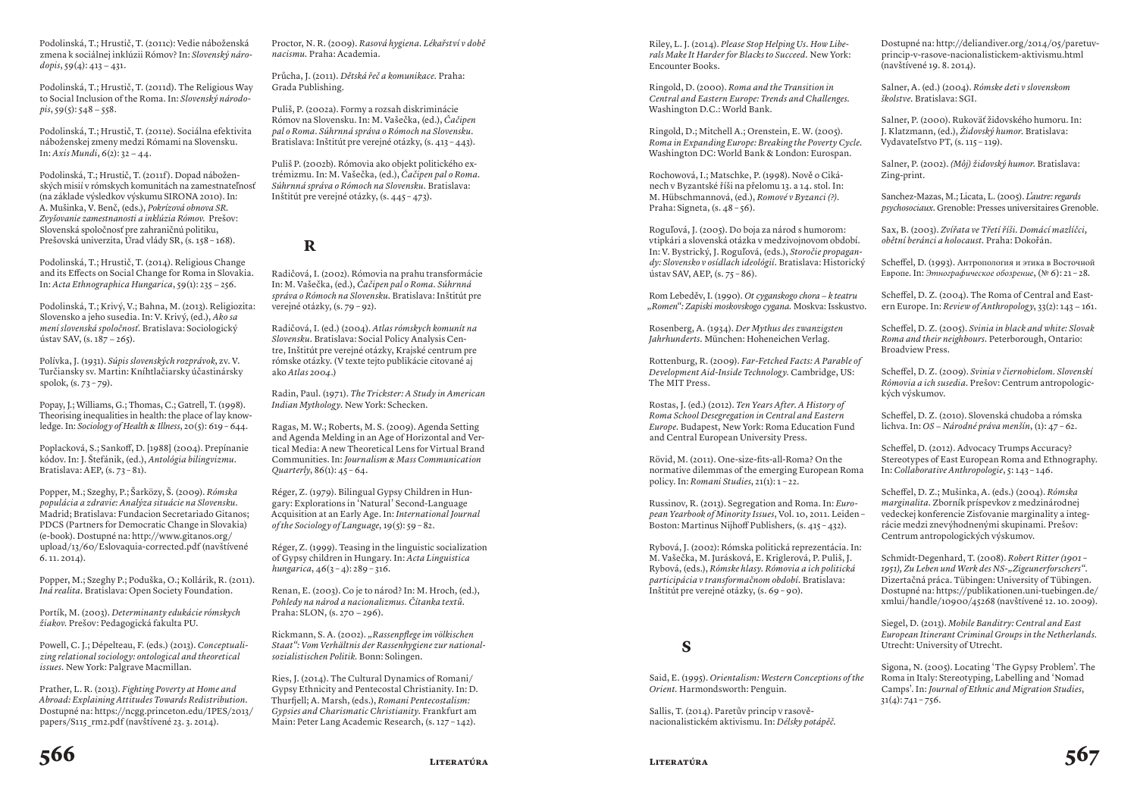Podolinská, T.; Hrustič, T. (2011c): Vedie náboženská zmena k sociálnej inklúzii Rómov? In: *Slovenský národopis*, 59(4): 413 − 431.

Podolinská, T.; Hrustič, T. (2011d). The Religious Way to Social Inclusion of the Roma. In: *Slovenský národopis*, 59(5): 548 − 558.

Podolinská, T.; Hrustič, T. (2011e). Sociálna efektivita náboženskej zmeny medzi Rómami na Slovensku. In: *Axis Mundi*, 6(2): 32 − 44.

Podolinská, T.; Hrustič, T. (2011f). Dopad náboženských misií v rómskych komunitách na zamestnateľnosť (na základe výsledkov výskumu SIRONA 2010). In: A. Mušinka, V. Benč, (eds.), *Pokrízová obnova SR. Zvyšovanie zamestnanosti a inklúzia Rómov.* Prešov: Slovenská spoločnosť pre zahraničnú politiku, Prešovská univerzita, Úrad vlády SR, (s. 158 – 168).

Podolinská, T.; Hrustič, T. (2014). Religious Change and its Effects on Social Change for Roma in Slovakia. In: *Acta Ethnographica Hungarica*, 59(1): 235 − 256.

Podolinská, T.; Krivý, V.; Bahna, M. (2013). Religiozita: Slovensko a jeho susedia. In: V. Krivý, (ed.), *Ako sa mení slovenská spoločnosť.* Bratislava: Sociologický ústav SAV, (s. 187 − 265).

Polívka, J. (1931). *Súpis slovenských rozprávok*, zv. V. Turčiansky sv. Martin: Kníhtlačiarsky účastinársky spolok, (s. 73 – 79).

Popay, J.; Williams, G.; Thomas, C.; Gatrell, T. (1998). Theorising inequalities in health: the place of lay knowledge. In: *Sociology of Health & Illness*, 20(5): 619 – 644.

Poplacková, S.; Sankoff, D. [1988] (2004). Prepínanie kódov. In: J. Štefánik, (ed.), *Antológia bilingvizmu*. Bratislava: AEP,  $(s. 73 - 81)$ .

Popper, M.; Szeghy, P.; Šarközy, Š. (2009). *Rómska populácia a zdravie: Analýza situácie na Slovensku.* Madrid; Bratislava: Fundacion Secretariado Gitanos; PDCS (Partners for Democratic Change in Slovakia) (e-book). Dostupné na: http://www.gitanos.org/ upload/13/60/Eslovaquia-corrected.pdf (navštívené 6. 11. 2014).

Popper, M.; Szeghy P.; Poduška, O.; Kollárik, R. (2011). *Iná realita.* Bratislava: Open Society Foundation.

Portík, M. (2003). *Determinanty edukácie rómskych žiakov.* Prešov: Pedagogická fakulta PU.

Powell, C. J.; Dépelteau, F. (eds.) (2013). *Conceptualizing relational sociology: ontological and theoretical issues.* New York: Palgrave Macmillan.

Prather, L. R. (2013). *Fighting Poverty at Home and Abroad: Explaining Attitudes Towards Redistribution.* Dostupné na: https://ncgg.princeton.edu/IPES/2013/ papers/S115\_rm2.pdf (navštívené 23. 3. 2014).

Proctor, N. R. (2009). *Rasová hygiena. Lékařství v době nacismu.* Praha: Academia.

Průcha, J. (2011). *Dětská řeč a komunikace.* Praha: Grada Publishing.

Puliš, P. (2002a). Formy a rozsah diskriminácie Rómov na Slovensku. In: M. Vašečka, (ed.), *Čačipen pal o Roma. Súhrnná správa o Rómoch na Slovensku.* Bratislava: Inštitút pre verejné otázky, (s. 413 – 443).

Puliš P. (2002b). Rómovia ako objekt politického extrémizmu. In: M. Vašečka, (ed.), *Čačipen pal o Roma. Súhrnná správa o Rómoch na Slovensku.* Bratislava: Inštitút pre verejné otázky, (s. 445 – 473).

#### **R**

Radičová, I. (2002). Rómovia na prahu transformácie In: M. Vašečka, (ed.), *Čačipen pal o Roma. Súhrnná správa o Rómoch na Slovensku.* Bratislava: Inštitút pre verejné otázky, (s. 79 – 92).

Radičová, I. (ed.) (2004). *Atlas rómskych komunít na Slovensku.* Bratislava: Social Policy Analysis Centre, Inštitút pre verejné otázky, Krajské centrum pre rómske otázky. (V texte tejto publikácie citované aj ako *Atlas 2004*.)

Radin, Paul. (1971). *The Trickster: A Study in American Indian Mythology.* New York: Schecken.

Ragas, M. W.; Roberts, M. S. (2009). Agenda Setting and Agenda Melding in an Age of Horizontal and Vertical Media: A new Theoretical Lens for Virtual Brand Communities. In: *Journalism & Mass Communication Quarterly*, 86(1): 45 – 64.

Réger, Z. (1979). Bilingual Gypsy Children in Hungary: Explorations in 'Natural' Second-Language Acquisition at an Early Age. In: *International Journal of the Sociology of Language*, 19(5): 59 – 82.

Réger, Z. (1999). Teasing in the linguistic socialization of Gypsy children in Hungary. In: *Acta Linguistica hungarica*, 46(3 – 4): 289 – 316.

Renan, E. (2003). Co je to národ? In: M. Hroch, (ed.), *Pohledy na národ a nacionalizmus. Čítanka textů*. Praha: SLON, (s. 270 − 296).

Rickmann, S. A. (2002). *"Rassenpflege im völkischen Staat": Vom Verhältnis der Rassenhygiene zur nationalsozialistischen Politik.* Bonn: Solingen.

Ries, J. (2014). The Cultural Dynamics of Romani/ Gypsy Ethnicity and Pentecostal Christianity. In: D. Thurfjell; A. Marsh, (eds.), *Romani Pentecostalism: Gypsies and Charismatic Christianity.* Frankfurt am Main: Peter Lang Academic Research, (s. 127 – 142).

Riley, L. J. (2014). *Please Stop Helping Us. How Liberals Make It Harder for Blacks to Succeed.* New York: Encounter Books.

Ringold, D. (2000). *Roma and the Transition in Central and Eastern Europe: Trends and Challenges.* Washington D.C.: World Bank.

Ringold, D.; Mitchell A.; Orenstein, E. W. (2005). *Roma in Expanding Europe: Breaking the Poverty Cycle.*  Washington DC: World Bank & London: Eurospan.

Rochowová, I.; Matschke, P. (1998). Nově o Cikánech v byzantské říši na přelomu 13. a 14. stol. In: M. Hübschmannová, (ed.), *Romové v Byzanci (?)*. Praha: Signeta, (s. 48 – 56).

Roguľová, J. (2005). Do boja za národ s humorom: vtipkári a slovenská otázka v medzivojnovom období. In: V. Bystrický, J. Roguľová, (eds.), *Storočie propagandy: Slovensko v osídlach ideológií.* Bratislava: Historický ústav SAV, AEP, (s. 75 – 86).

Rom Lebeděv, I. (1990). *Ot cyganskogo chora − k teatru "Romen": Zapiski moskovskogo cygana.* Moskva: Isskustvo.

Rosenberg, A. (1934). *Der Mythus des zwanzigsten Jahrhunderts.* München: Hoheneichen Verlag.

Rottenburg, R. (2009). *Far-Fetched Facts: A Parable of Development Aid-Inside Technology.* Cambridge, US: The MIT Press.

Rostas, J. (ed.) (2012). *Ten Years After. A History of Roma School Desegregation in Central and Eastern Europe.* Budapest, New York: Roma Education Fund and Central European University Press.

Rövid, M. (2011). One-size-fits-all-Roma? On the normative dilemmas of the emerging European Roma policy. In: *Romani Studies*, 21(1): 1 – 22.

Russinov, R. (2013). Segregation and Roma. In: *European Yearbook of Minority Issues*, Vol. 10, 2011. Leiden – Boston: Martinus Nijhoff Publishers,  $(s, 415 - 432)$ .

Rybová, J. (2002): Rómska politická reprezentácia. In: M. Vašečka, M. Jurásková, E. Kriglerová, P. Puliš, J. Rybová, (eds.), *Rómske hlasy. Rómovia a ich politická participácia v transformačnom období.* Bratislava: Inštitút pre verejné otázky, (s. 69 – 90).

#### **S**

Said, E. (1995). *Orientalism: Western Conceptions of the Orient.* Harmondsworth: Penguin.

Sallis, T. (2014). Paretův princip v rasověnacionalistickém aktivismu. In: *Délsky potápěč.* Dostupné na: http://deliandiver.org/2014/05/paretuvprincip-v-rasove-nacionalistickem-aktivismu.html (navštívené 19. 8. 2014).

Salner, A. (ed.) (2004). *Rómske deti v slovenskom školstve.* Bratislava: SGI.

Salner, P. (2000). Rukoväť židovského humoru. In: J. Klatzmann, (ed.), *Židovský humor.* Bratislava: Vydavateľstvo PT, (s. 115 – 119).

Salner, P. (2002). *(Môj) židovský humor.* Bratislava: Zing-print.

Sanchez-Mazas, M.; Licata, L. (2005). *L'autre: regards psychosociaux.* Grenoble: Presses universitaires Grenoble.

Sax, B. (2003). *Zvířata ve Třetí říši. Domácí mazlíčci, obětní beránci a holocaust.* Praha: Dokořán.

Scheffel, D. (1993). Антропология и этика в Восточной Европе. In: *Этнографическое обозрение*, (№ 6): 21 – 28.

Scheffel, D. Z. (2004). The Roma of Central and Eastern Europe. In: *Review of Anthropology*, 33(2): 143 − 161.

Scheffel, D. Z. (2005). *Svinia in black and white: Slovak Roma and their neighbours.* Peterborough, Ontario: Broadview Press.

Scheffel, D. Z. (2009). *Svinia v čiernobielom. Slovenskí Rómovia a ich susedia.* Prešov: Centrum antropologických výskumov.

Scheffel, D. Z. (2010). Slovenská chudoba a rómska lichva. In: *OS − Národné práva menšín*, (1): 47 – 62.

Scheffel, D. (2012). Advocacy Trumps Accuracy? Stereotypes of East European Roma and Ethnography. In: *Collaborative Anthropologie*, 5: 143 – 146.

Scheffel, D. Z.; Mušinka, A. (eds.) (2004). *Rómska marginalita.* Zborník príspevkov z medzinárodnej vedeckej konferencie Zisťovanie marginality a integrácie medzi znevýhodnenými skupinami. Prešov: Centrum antropologických výskumov.

Schmidt-Degenhard, T. (2008). *Robert Ritter (1901 –*  1951), Zu Leben und Werk des NS-"Zigeunerforschers". Dizertačná práca. Tübingen: University of Tübingen. Dostupné na: https://publikationen.uni-tuebingen.de/ xmlui/handle/10900/45268 (navštívené 12. 10. 2009).

Siegel, D. (2013). *Mobile Banditry: Central and East European Itinerant Criminal Groups in the Netherlands.* Utrecht: University of Utrecht.

Sigona, N. (2005). Locating 'The Gypsy Problem'. The Roma in Italy: Stereotyping, Labelling and 'Nomad Camps'. In: *Journal of Ethnic and Migration Studies*,  $31(4): 741 - 756.$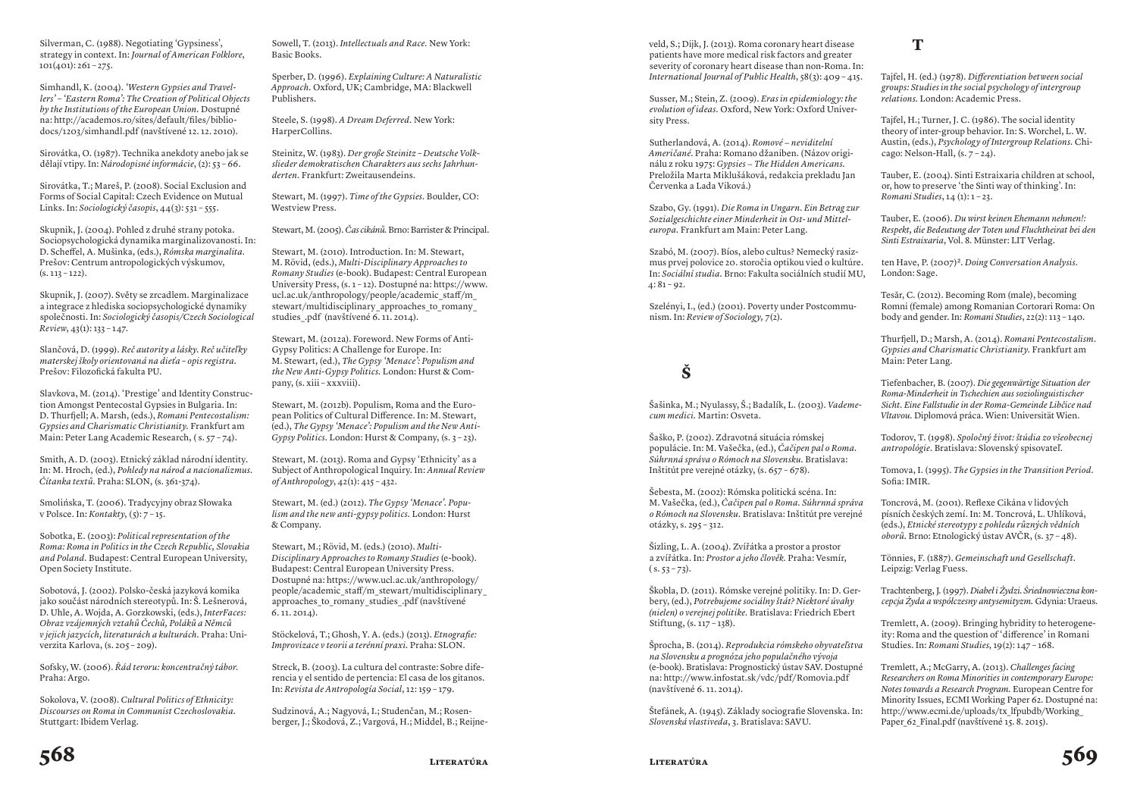Silverman, C. (1988). Negotiating 'Gypsiness', strategy in context. In: *Journal of American Folklore*,  $101(401): 261 - 275.$ 

Simhandl, K. (2004). *'Western Gypsies and Travellers' – 'Eastern Roma': The Creation of Political Objects by the Institutions of the European Union.* Dostupné na: http://academos.ro/sites/default/files/bibliodocs/1203/simhandl.pdf (navštívené 12. 12. 2010).

Sirovátka, O. (1987). Technika anekdoty anebo jak se dělají vtipy. In: *Národopisné informácie*, (2): 53 – 66.

Sirovátka, T.; Mareš, P. (2008). Social Exclusion and Forms of Social Capital: Czech Evidence on Mutual Links. In: *Sociologický časopis*, 44(3): 531 – 555.

Skupnik, J. (2004). Pohled z druhé strany potoka. Sociopsychologická dynamika marginalizovanosti. In: D. Scheffel, A. Mušinka, (eds.), *Rómska marginalita.* Prešov: Centrum antropologických výskumov,  $(s. 113 - 122)$ .

Skupnik, J. (2007). Světy se zrcadlem. Marginalizace a integrace z hlediska sociopsychologické dynamiky společnosti. In: *Sociologický časopis/Czech Sociological Review*, 43(1): 133 – 147.

Slančová, D. (1999). *Reč autority a lásky. Reč učiteľky materskej školy orientovaná na dieťa – opis registra.* Prešov: Filozofická fakulta PU.

Slavkova, M. (2014). 'Prestige' and Identity Construction Amongst Pentecostal Gypsies in Bulgaria. In: D. Thurfjell; A. Marsh, (eds.), *Romani Pentecostalism: Gypsies and Charismatic Christianity.* Frankfurt am Main: Peter Lang Academic Research, ( s. 57 – 74).

Smith, A. D. (2003). Etnický základ národní identity. In: M. Hroch, (ed.), *Pohledy na národ a nacionalizmus. Čítanka textů.* Praha: SLON, (s. 361-374).

Smolińska, T. (2006). Tradycyjny obraz Słowaka v Polsce. In: *Kontakty*, (5): 7 – 15.

Sobotka, E. (2003): *Political representation of the Roma: Roma in Politics in the Czech Republic, Slovakia and Poland.* Budapest: Central European University, Open Society Institute.

Sobotová, J. (2002). Polsko-česká jazyková komika jako součást národních stereotypů. In: Š. Lešnerová, D. Uhle, A. Wojda, A. Gorzkowski, (eds.), *InterFaces: Obraz vzájemných vztahů Čechů, Poláků a Němců v jejich jazycích, literaturách a kulturách.* Praha: Univerzita Karlova, (s. 205 – 209).

Sofsky, W. (2006). *Řád teroru: koncentračný tábor.* Praha: Argo.

Sokolova, V. (2008). *Cultural Politics of Ethnicity: Discourses on Roma in Communist Czechoslovakia.* Stuttgart: Ibidem Verlag.

Sowell, T. (2013). *Intellectuals and Race.* New York: Basic Books.

Sperber, D. (1996). *Explaining Culture: A Naturalistic Approach.* Oxford, UK; Cambridge, MA: Blackwell Publishers.

Steele, S. (1998). *A Dream Deferred.* New York: HarperCollins.

Steinitz, W. (1983). *Der große Steinitz – Deutsche Volkslieder demokratischen Charakters aus sechs Jahrhunderten.* Frankfurt: Zweitausendeins.

Stewart, M. (1997). *Time of the Gypsies.* Boulder, CO: Westview Press.

Stewart, M. (2005). *Čas cikánů.* Brno: Barrister & Principal.

Stewart, M. (2010). Introduction. In: M. Stewart, M. Rövid, (eds.), *Multi-Disciplinary Approaches to Romany Studies* (e-book). Budapest: Central European University Press, (s. 1 – 12). Dostupné na: https://www. ucl.ac.uk/anthropology/people/academic\_staff/m\_ stewart/multidisciplinary approaches to romany studies\_.pdf (navštívené 6. 11. 2014).

Stewart, M. (2012a). Foreword. New Forms of Anti-Gypsy Politics: A Challenge for Europe. In: M. Stewart, (ed.), *The Gypsy 'Menace': Populism and the New Anti-Gypsy Politics.* London: Hurst & Company, (s. xiii – xxxviii).

Stewart, M. (2012b). Populism, Roma and the European Politics of Cultural Difference. In: M. Stewart, (ed.), *The Gypsy 'Menace': Populism and the New Anti-Gypsy Politics.* London: Hurst & Company, (s. 3 – 23).

Stewart, M. (2013). Roma and Gypsy 'Ethnicity' as a Subject of Anthropological Inquiry. In: *Annual Review of Anthropology*, 42(1): 415 – 432.

Stewart, M. (ed.) (2012). *The Gypsy 'Menace'. Populism and the new anti-gypsy politics.* London: Hurst & Company.

Stewart, M.; Rövid, M. (eds.) (2010). *Multi-Disciplinary Approaches to Romany Studies* (e-book). Budapest: Central European University Press. Dostupné na: https://www.ucl.ac.uk/anthropology/ people/academic\_staff/m\_stewart/multidisciplinary\_ approaches to romany studies .pdf (navštívené 6. 11. 2014).

Stöckelová, T.; Ghosh, Y. A. (eds.) (2013). *Etnografie: Improvizace v teorii a terénní praxi.* Praha: SLON.

Streck, B. (2003). La cultura del contraste: Sobre diferencia y el sentido de pertencia: El casa de los gitanos. In: *Revista de Antropología Social*, 12: 159 – 179.

Sudzinová, A.; Nagyová, I.; Studenčan, M.; Rosenberger, J.; Škodová, Z.; Vargová, H.; Middel, B.; Reijneveld, S.; Dijk, J. (2013). Roma coronary heart disease patients have more medical risk factors and greater severity of coronary heart disease than non-Roma. In: *International Journal of Public Health*, 58(3): 409 – 415.

Susser, M.; Stein, Z. (2009). *Eras in epidemiology: the evolution of ideas.* Oxford, New York: Oxford University Press.

Sutherlandová, A. (2014). *Romové − neviditelní Američané*. Praha: Romano džaniben. (Názov originálu z roku 1975: *Gypsies − The Hidden Americans.* Preložila Marta Miklušáková, redakcia prekladu Jan Červenka a Lada Viková.)

Szabo, Gy. (1991). *Die Roma in Ungarn. Ein Betrag zur Sozialgeschichte einer Minderheit in Ost- und Mitteleuropa.* Frankfurt am Main: Peter Lang.

Szabó, M. (2007). Bíos, alebo cultus? Nemecký rasizmus prvej polovice 20. storočia optikou vied o kultúre. In: *Sociální studia.* Brno: Fakulta sociálních studií MU,  $4: 81 - 92.$ 

Szelényi, I., (ed.) (2001). Poverty under Postcommunism. In: *Review of Sociology,* 7(2).

## **Š**

Šašinka, M.; Nyulassy, Š.; Badalík, L. (2003). *Vademecum medici.* Martin: Osveta.

Šaško, P. (2002). Zdravotná situácia rómskej populácie. In: M. Vašečka, (ed.), *Čačipen pal o Roma. Súhrnná správa o Rómoch na Slovensku.* Bratislava: Inštitút pre verejné otázky, (s. 657 – 678).

Šebesta, M. (2002): Rómska politická scéna. In: M. Vašečka, (ed.), *Čačipen pal o Roma. Súhrnná správa o Rómoch na Slovensku.* Bratislava: Inštitút pre verejné otázky, s. 295 – 312.

Šizling, L. A. (2004). Zvířátka a prostor a prostor a zvířátka. In: *Prostor a jeho člověk.* Praha: Vesmír,  $(s, 53 - 73)$ .

Škobla, D. (2011). Rómske verejné politiky. In: D. Gerbery, (ed.), *Potrebujeme sociálny štát? Niektoré úvahy (nielen) o verejnej politike.* Bratislava: Friedrich Ebert Stiftung, (s. 117 – 138).

Šprocha, B. (2014). *Reprodukcia rómskeho obyvateľstva na Slovensku a prognóza jeho populačného vývoja* (e-book). Bratislava: Prognostický ústav SAV. Dostupné na: http://www.infostat.sk/vdc/pdf/Romovia.pdf (navštívené 6. 11. 2014).

Štefánek, A. (1945). Základy sociografie Slovenska. In: *Slovenská vlastiveda*, 3. Bratislava: SAVU.

**T**

Tajfel, H. (ed.) (1978). *Differentiation between social groups: Studies in the social psychology of intergroup relations.* London: Academic Press.

Tajfel, H.; Turner, J. C. (1986). The social identity theory of inter-group behavior. In: S. Worchel, L. W. Austin, (eds.), *Psychology of Intergroup Relations.* Chicago: Nelson-Hall,  $(s. 7 - 24)$ .

Tauber, E. (2004). Sinti Estraixaria children at school, or, how to preserve 'the Sinti way of thinking'. In: *Romani Studies*, 14 (1): 1 – 23.

Tauber, E. (2006). *Du wirst keinen Ehemann nehmen!: Respekt, die Bedeutung der Toten und Fluchtheirat bei den Sinti Estraixaria*, Vol. 8. Münster: LIT Verlag.

ten Have, P. (2007)<sup>2</sup>. *Doing Conversation Analysis.* London: Sage.

Tesăr, C. (2012). Becoming Rom (male), becoming Romni (female) among Romanian Cortorari Roma: On body and gender. In: *Romani Studies*, 22(2): 113 – 140.

Thurfjell, D.; Marsh, A. (2014). *Romani Pentecostalism. Gypsies and Charismatic Christianity.* Frankfurt am Main: Peter Lang.

Tiefenbacher, B. (2007). *Die gegenwärtige Situation der Roma-Minderheit in Tschechien aus soziolinguistischer Sicht. Eine Fallstudie in der Roma-Gemeinde Libčice nad Vltavou.* Diplomová práca. Wien: Universität Wien.

Todorov, T. (1998). *Spoločný život: štúdia zo všeobecnej antropológie.* Bratislava: Slovenský spisovateľ.

Tomova, I. (1995). *The Gypsies in the Transition Period.* Sofia: IMIR.

Toncrová, M. (2001). Reflexe Cikána v lidových písních českých zemí. In: M. Toncrová, L. Uhlíková, (eds.), *Etnické stereotypy z pohledu různých vědních oborů.* Brno: Etnologický ústav AVČR, (s. 37 – 48).

Tönnies, F. (1887). *Gemeinschaft und Gesellschaft*. Leipzig: Verlag Fuess.

Trachtenberg, J. (1997). *Diabeł i Żydzi. Śriednowieczna koncepcja Żyda a współczesny antysemityzm.* Gdynia: Uraeus.

Tremlett, A. (2009). Bringing hybridity to heterogeneity: Roma and the question of 'difference' in Romani Studies. In: *Romani Studies*, 19(2): 147 – 168.

Tremlett, A.; McGarry, A. (2013). *Challenges facing Researchers on Roma Minorities in contemporary Europe: Notes towards a Research Program.* European Centre for Minority Issues, ECMI Working Paper 62. Dostupné na: http://www.ecmi.de/uploads/tx\_lfpubdb/Working\_ Paper 62 Final.pdf (navštívené 15. 8. 2015).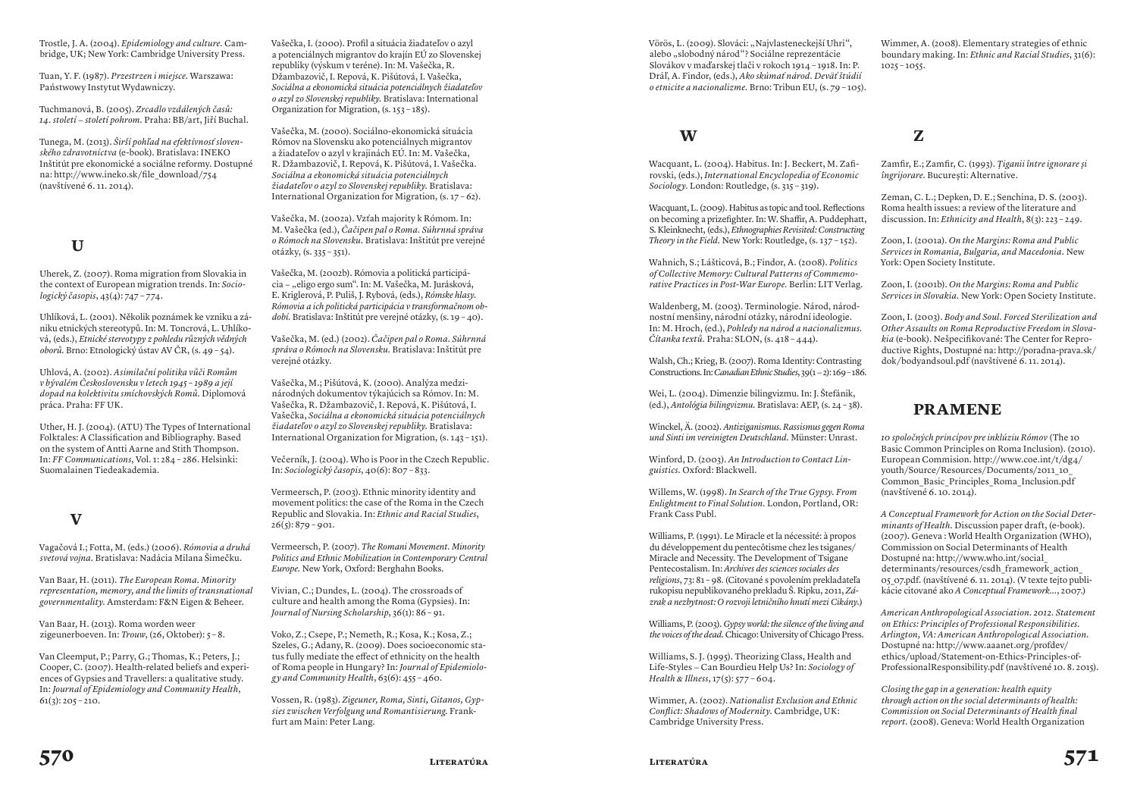Trostle, J. A. (2004). *Epidemiology and culture.* Cambridge, UK; New York: Cambridge University Press.

Tuan, Y. F. (1987). *Przestrzen i miejsce.* Warszawa: Państwowy Instytut Wydawniczy.

Tuchmanová, B. (2005). *Zrcadlo vzdálených časů: 14. století − století pohrom.* Praha: BB/art, Jiří Buchal.

Tunega, M. (2013). *Širší pohľad na efektívnosť slovenského zdravotníctva* (e-book). Bratislava: INEKO Inštitút pre ekonomické a sociálne reformy. Dostupné na: http://www.ineko.sk/file\_download/754 (navštívené 6. 11. 2014).

### **U**

Uherek, Z. (2007). Roma migration from Slovakia in the context of European migration trends. In: *Sociologický časopis*, 43(4): 747 – 774.

Uhlíková, L. (2001). Několik poznámek ke vzniku a zániku etnických stereotypů. In: M. Toncrová, L. Uhlíková, (eds.), *Etnické stereotypy z pohledu různých vědných oborů.* Brno: Etnologický ústav AV ČR, (s. 49 – 54).

Uhlová, A. (2002). *Asimilační politika vůči Romům v bývalém Československu v letech 1945 – 1989 a její dopad na kolektivitu smíchovských Romů.* Diplomová práca. Praha: FF UK.

Uther, H. J. (2004). (ATU) The Types of International Folktales: A Classification and Bibliography. Based on the system of Antti Aarne and Stith Thompson. In: *FF Communications*, Vol. 1: 284 – 286. Helsinki: Suomalainen Tiedeakademia.

#### **V**

Vagačová I.; Fotta, M. (eds.) (2006). *Rómovia a druhá svetová vojna.* Bratislava: Nadácia Milana Šimečku.

Van Baar, H. (2011). *The European Roma. Minority representation, memory, and the limits of transnational governmentality.* Amsterdam: F&N Eigen & Beheer.

Van Baar, H. (2013). Roma worden weer zigeunerboeven. In: *Trouw*, (26, Oktober): 5 – 8.

Van Cleemput, P.; Parry, G.; Thomas, K.; Peters, J.; Cooper, C. (2007). Health-related beliefs and experiences of Gypsies and Travellers: a qualitative study. In: *Journal of Epidemiology and Community Health*,  $61(3): 205 - 210.$ 

Vašečka, I. (2000). Profil a situácia žiadateľov o azyl a potenciálnych migrantov do krajín EÚ zo Slovenskej republiky (výskum v teréne). In: M. Vašečka, R. Džambazovič, I. Repová, K. Pišútová, I. Vašečka, *Sociálna a ekonomická situácia potenciálnych žiadateľov o azyl zo Slovenskej republiky.* Bratislava: International Organization for Migration, (s. 153 – 185).

Vašečka, M. (2000). Sociálno-ekonomická situácia Rómov na Slovensku ako potenciálnych migrantov a žiadateľov o azyl v krajinách EÚ. In: M. Vašečka, R. Džambazovič, I. Repová, K. Pišútová, I. Vašečka. *Sociálna a ekonomická situácia potenciálnych žiadateľov o azyl zo Slovenskej republiky.* Bratislava: International Organization for Migration,  $(s. 17 - 62)$ .

Vašečka, M. (2002a). Vzťah majority k Rómom. In: M. Vašečka (ed.), *Čačipen pal o Roma. Súhrnná správa o Rómoch na Slovensku.* Bratislava: Inštitút pre verejné otázky, (s. 335 – 351).

Vašečka, M. (2002b). Rómovia a politická participácia − "eligo ergo sum". In: M. Vašečka, M. Jurásková, E. Kriglerová, P. Puliš, J. Rybová, (eds.), *Rómske hlasy. Rómovia a ich politická participácia v transformačnom období.* Bratislava: Inštitút pre verejné otázky, (s. 19 – 40).

Vašečka, M. (ed.) (2002). *Čačipen pal o Roma. Súhrnná správa o Rómoch na Slovensku.* Bratislava: Inštitút pre verejné otázky.

Vašečka, M.; Pišútová, K. (2000). Analýza medzinárodných dokumentov týkajúcich sa Rómov. In: M. Vašečka, R. Džambazovič, I. Repová, K. Pišútová, I. Vašečka, *Sociálna a ekonomická situácia potenciálnych žiadateľov o azyl zo Slovenskej republiky.* Bratislava: International Organization for Migration, (s. 143 – 151).

Večerník, J. (2004). Who is Poor in the Czech Republic. In: *Sociologický časopis*, 40(6): 807 – 833.

Vermeersch, P. (2003). Ethnic minority identity and movement politics: the case of the Roma in the Czech Republic and Slovakia. In: *Ethnic and Racial Studies*,  $26(5)$ : 879 – 901.

Vermeersch, P. (2007). *The Romani Movement. Minority Politics and Ethnic Mobilization in Contemporary Central Europe.* New York, Oxford: Berghahn Books.

Vivian, C.; Dundes, L. (2004). The crossroads of culture and health among the Roma (Gypsies). In: *Journal of Nursing Scholarship*, 36(1): 86 – 91.

Voko, Z.; Csepe, P.; Nemeth, R.; Kosa, K.; Kosa, Z.; Szeles, G.; Adany, R. (2009). Does socioeconomic status fully mediate the effect of ethnicity on the health of Roma people in Hungary? In: *Journal of Epidemiology and Community Health*, 63(6): 455 – 460.

Vossen, R. (1983). *Zigeuner, Roma, Sinti, Gitanos, Gypsies zwischen Verfolgung und Romantisierung.* Frankfurt am Main: Peter Lang.

Vörös, L. (2009). Slováci: "Najvlasteneckejší Uhri", alebo "slobodný národ"? Sociálne reprezentácie Slovákov v maďarskej tlači v rokoch 1914 – 1918. In: P. Dráľ, A. Findor, (eds.), *Ako skúmať národ. Deväť štúdií o etnicite a nacionalizme.* Brno: Tribun EU, (s. 79 – 105).

#### **W**

Wacquant, L. (2004). Habitus. In: J. Beckert, M. Zafirovski, (eds.), *International Encyclopedia of Economic Sociology.* London: Routledge, (s. 315 – 319).

Wacquant, L. (2009). Habitus as topic and tool. Reflections on becoming a prizefighter. In: W. Shaffir, A. Puddephatt, S. Kleinknecht, (eds.), *Ethnographies Revisited: Constructing Theory in the Field.* New York: Routledge, (s. 137 – 152).

Wahnich, S.; Lášticová, B.; Findor, A. (2008). *Politics of Collective Memory: Cultural Patterns of Commemorative Practices in Post-War Europe.* Berlin: LIT Verlag.

Waldenberg, M. (2003). Terminologie. Národ, národnostní menšiny, národní otázky, národní ideologie. In: M. Hroch, (ed.), *Pohledy na národ a nacionalizmus. Čítanka textů.* Praha: SLON, (s. 418 – 444).

Walsh, Ch.; Krieg, B. (2007). Roma Identity: Contrasting Constructions. In: *Canadian Ethnic Studies*, 39(1 − 2): 169 – 186.

Wei, L. (2004). Dimenzie bilingvizmu. In: J. Štefánik, (ed.), *Antológia bilingvizmu.* Bratislava: AEP, (s. 24 – 38).

Winckel, Ä. (2002). *Antiziganismus. Rassismus gegen Roma und Sinti im vereinigten Deutschland.* Münster: Unrast.

Winford, D. (2003). *An Introduction to Contact Linguistics.* Oxford: Blackwell.

Willems, W. (1998). *In Search of the True Gypsy. From Enlightment to Final Solution.* London, Portland, OR: Frank Cass Publ.

Williams, P. (1991). Le Miracle et la nécessité: à propos du développement du pentecôtisme chez les tsiganes/ Miracle and Necessity. The Development of Tsigane Pentecostalism. In: *Archives des sciences sociales des religions*, 73: 81 – 98. (Citované s povolením prekladateľa rukopisu nepublikovaného prekladu Š. Ripku, 2011, *Zázrak a nezbytnost: O rozvoji letničního hnutí mezi Cikány.*)

Williams, P. (2003). *Gypsy world: the silence of the living and the voices of the dead.* Chicago: University of Chicago Press.

Williams, S. J. (1995). Theorizing Class, Health and Life-Styles − Can Bourdieu Help Us? In: *Sociology of Health & Illness*, 17(5): 577 – 604.

Wimmer, A. (2002). *Nationalist exclusion and Ethnic Conflict: Shadows of Modernity.* Cambridge, UK: Cambridge University Press.

Wimmer, A. (2008). Elementary strategies of ethnic boundary making. In: *Ethnic and Racial Studies*, 31(6):  $1025 - 1055$ .

**Z**

Zamfir, E.; Zamfir, C. (1993). *Ţiganii între ignorare şi îngrijorare.* Bucureşti: Alternative.

Zeman, C. L.; Depken, D. E.; Senchina, D. S. (2003). Roma health issues: a review of the literature and discussion. In: *Ethnicity and Health*, 8(3): 223 – 249.

Zoon, I. (2001a). *On the Margins: Roma and Public Services in Romania, Bulgaria, and Macedonia.* New York: Open Society Institute.

Zoon, I. (2001b). *On the Margins: Roma and Public Services in Slovakia.* New York: Open Society Institute.

Zoon, I. (2003). *Body and Soul. Forced Sterilization and Other Assaults on Roma Reproductive Freedom in Slovakia* (e-book). Nešpecifikované: The Center for Reproductive Rights, Dostupné na: http://poradna-prava.sk/ dok/bodyandsoul.pdf (navštívené 6. 11. 2014).

#### **Pramene**

*10 spoločných princípov pre inklúziu Rómov* (The 10 Basic Common Principles on Roma Inclusion). (2010). European Commision. http://www.coe.int/t/dg4/ youth/Source/Resources/Documents/2011\_10\_ Common\_Basic\_Principles\_Roma\_Inclusion.pdf (navštívené 6. 10. 2014).

*A Conceptual Framework for Action on the Social Determinants of Health.* Discussion paper draft, (e-book). (2007). Geneva : World Health Organization (WHO), Commission on Social Determinants of Health Dostupné na: http://www.who.int/social\_ determinants/resources/csdh\_framework\_action 05\_07.pdf. (navštívené 6. 11. 2014). (V texte tejto publikácie citované ako *A Conceptual Framework…*, 2007.)

*American Anthropological Association. 2012. Statement on Ethics: Principles of Professional Responsibilities. Arlington, VA: American Anthropological Association.* Dostupné na: http://www.aaanet.org/profdev/ ethics/upload/Statement-on-Ethics-Principles-of-ProfessionalResponsibility.pdf (navštívené 10. 8. 2015).

*Closing the gap in a generation: health equity through action on the social determinants of health: Commission on Social Determinants of Health final report.* (2008). Geneva: World Health Organization